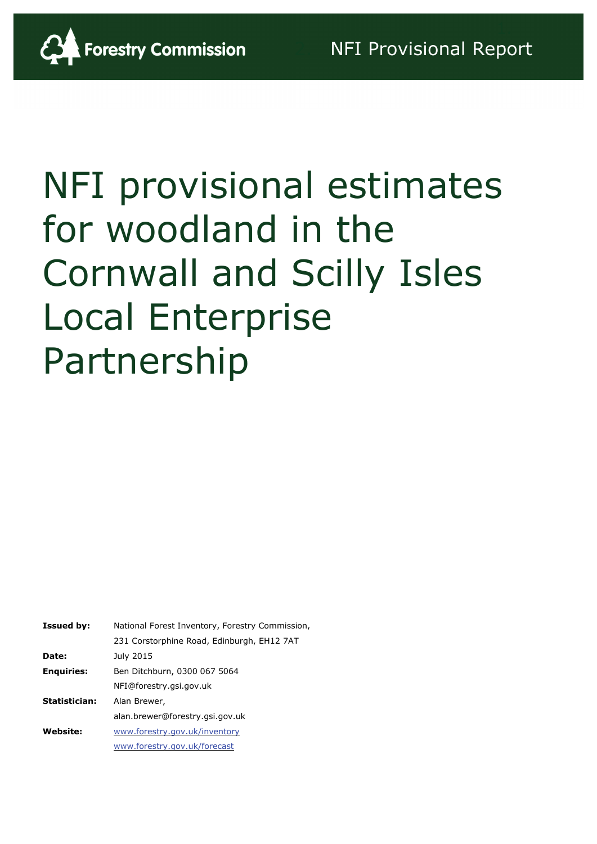

# NFI provisional estimates for woodland in the Cornwall and Scilly Isles Local Enterprise Partnership

| National Forest Inventory, Forestry Commission, |
|-------------------------------------------------|
| 231 Corstorphine Road, Edinburgh, EH12 7AT      |
| July 2015                                       |
| Ben Ditchburn, 0300 067 5064                    |
| NFI@forestry.gsi.gov.uk                         |
| Alan Brewer,                                    |
| alan.brewer@forestry.gsi.gov.uk                 |
| www.forestry.gov.uk/inventory                   |
| www.forestry.gov.uk/forecast                    |
|                                                 |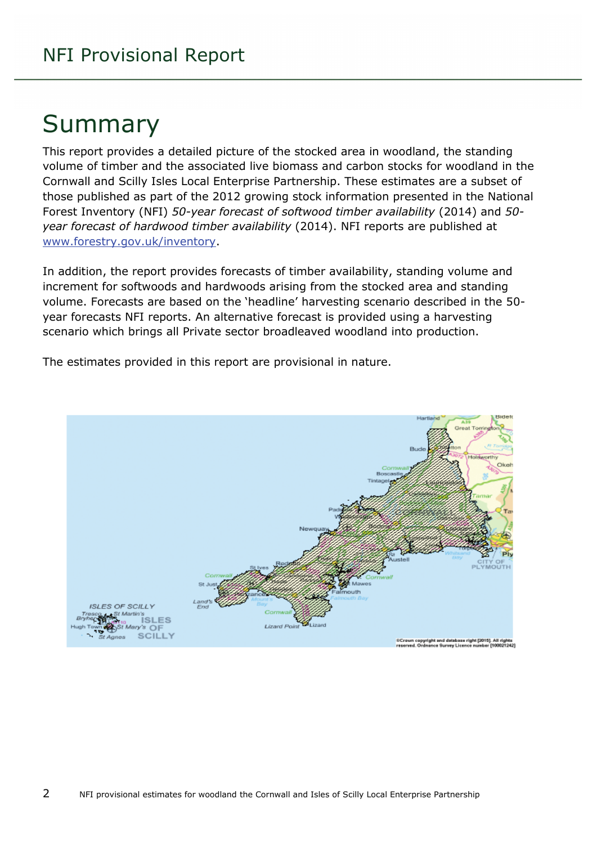## Summary

This report provides a detailed picture of the stocked area in woodland, the standing volume of timber and the associated live biomass and carbon stocks for woodland in the Cornwall and Scilly Isles Local Enterprise Partnership. These estimates are a subset of those published as part of the 2012 growing stock information presented in the National Forest Inventory (NFI) *50-year forecast of softwood timber availability* (2014) and *50 year forecast of hardwood timber availability* (2014). NFI reports are published at [www.forestry.gov.uk/inventory.](http://www.forestry.gov.uk/inventory)

In addition, the report provides forecasts of timber availability, standing volume and increment for softwoods and hardwoods arising from the stocked area and standing volume. Forecasts are based on the 'headline' harvesting scenario described in the 50 year forecasts NFI reports. An alternative forecast is provided using a harvesting scenario which brings all Private sector broadleaved woodland into production.

MOUTH **ISLES OF SCILLY ISLES** OF **SCILLY** .<br>⊪Crown copyright and database right [2015]. All rights<br>reserved. Ordnance Survey Licence number [100021242]

The estimates provided in this report are provisional in nature.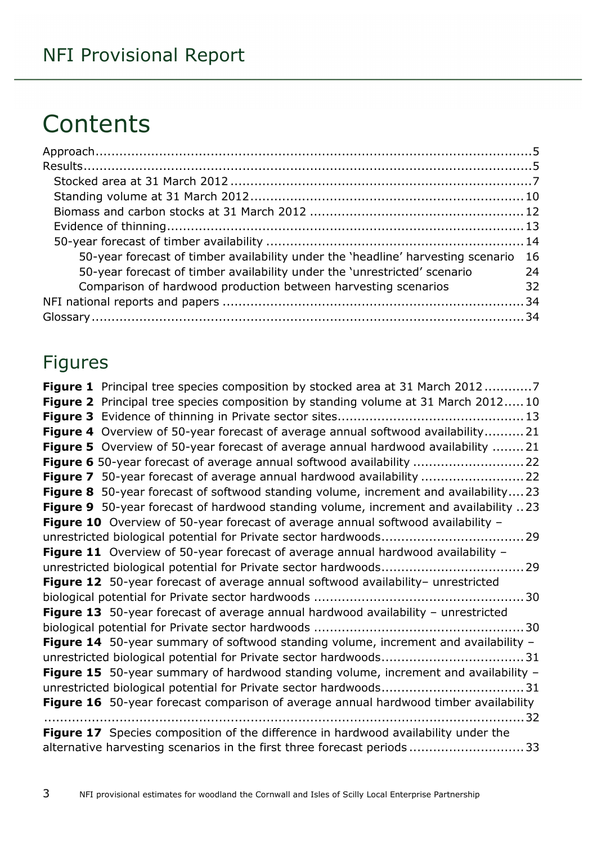## **Contents**

| 50-year forecast of timber availability under the 'headline' harvesting scenario 16 |    |
|-------------------------------------------------------------------------------------|----|
| 50-year forecast of timber availability under the 'unrestricted' scenario           | 24 |
| Comparison of hardwood production between harvesting scenarios                      | 32 |
|                                                                                     |    |
|                                                                                     |    |

## Figures

| <b>Figure 1</b> Principal tree species composition by stocked area at 31 March 20127       |  |
|--------------------------------------------------------------------------------------------|--|
| Figure 2 Principal tree species composition by standing volume at 31 March 2012 10         |  |
|                                                                                            |  |
| Figure 4 Overview of 50-year forecast of average annual softwood availability21            |  |
| <b>Figure 5</b> Overview of 50-year forecast of average annual hardwood availability 21    |  |
| Figure 6 50-year forecast of average annual softwood availability  22                      |  |
|                                                                                            |  |
| <b>Figure 8</b> 50-year forecast of softwood standing volume, increment and availability23 |  |
| Figure 9 50-year forecast of hardwood standing volume, increment and availability 23       |  |
| Figure 10 Overview of 50-year forecast of average annual softwood availability -           |  |
|                                                                                            |  |
| Figure 11 Overview of 50-year forecast of average annual hardwood availability -           |  |
|                                                                                            |  |
| Figure 12 50-year forecast of average annual softwood availability- unrestricted           |  |
|                                                                                            |  |
| Figure 13 50-year forecast of average annual hardwood availability - unrestricted          |  |
|                                                                                            |  |
| Figure 14 50-year summary of softwood standing volume, increment and availability -        |  |
|                                                                                            |  |
| Figure 15 50-year summary of hardwood standing volume, increment and availability -        |  |
|                                                                                            |  |
| Figure 16 50-year forecast comparison of average annual hardwood timber availability       |  |
|                                                                                            |  |
| Figure 17 Species composition of the difference in hardwood availability under the         |  |
| alternative harvesting scenarios in the first three forecast periods33                     |  |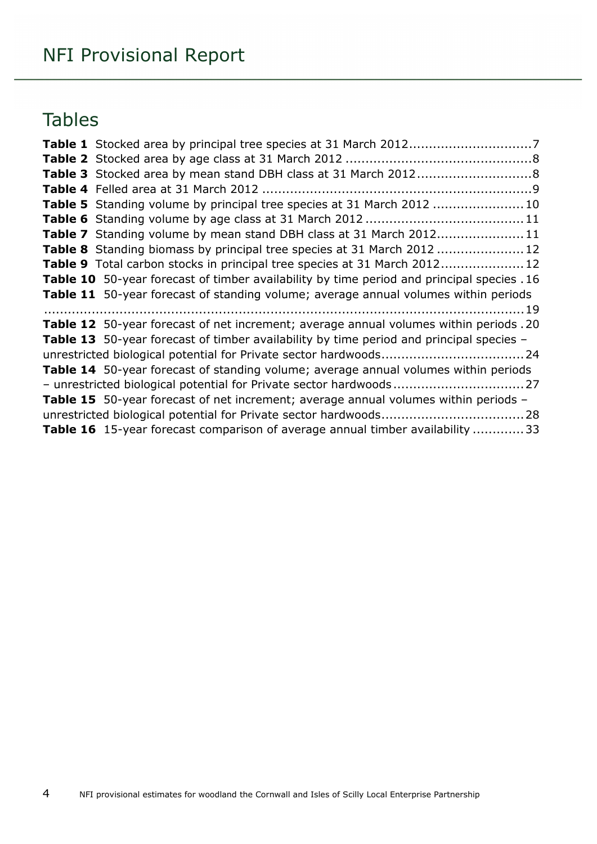## Tables

| Table 3 Stocked area by mean stand DBH class at 31 March 20128                                 |
|------------------------------------------------------------------------------------------------|
|                                                                                                |
| Table 5 Standing volume by principal tree species at 31 March 2012 10                          |
|                                                                                                |
| Table 7 Standing volume by mean stand DBH class at 31 March 201211                             |
| Table 8 Standing biomass by principal tree species at 31 March 2012  12                        |
| Table 9 Total carbon stocks in principal tree species at 31 March 2012 12                      |
| Table 10 50-year forecast of timber availability by time period and principal species . 16     |
| Table 11 50-year forecast of standing volume; average annual volumes within periods            |
|                                                                                                |
| Table 12 50-year forecast of net increment; average annual volumes within periods .20          |
| <b>Table 13</b> 50-year forecast of timber availability by time period and principal species - |
|                                                                                                |
| Table 14 50-year forecast of standing volume; average annual volumes within periods            |
|                                                                                                |
| Table 15 50-year forecast of net increment; average annual volumes within periods -            |
|                                                                                                |
| <b>Table 16</b> 15-year forecast comparison of average annual timber availability  33          |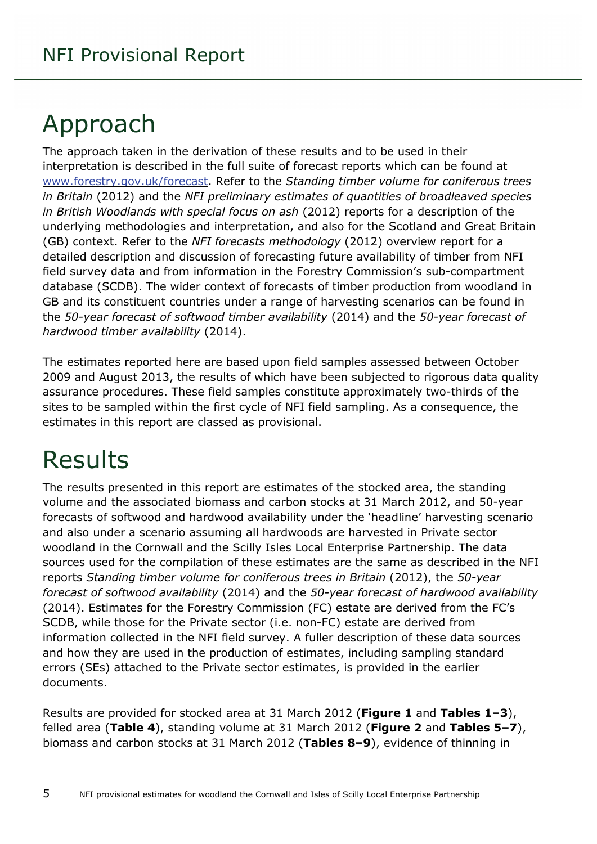## <span id="page-4-0"></span>Approach

The approach taken in the derivation of these results and to be used in their interpretation is described in the full suite of forecast reports which can be found at [www.forestry.gov.uk/forecast.](http://www.forestry.gov.uk/forecast) Refer to the *Standing timber volume for coniferous trees in Britain* (2012) and the *NFI preliminary estimates of quantities of broadleaved species in British Woodlands with special focus on ash* (2012) reports for a description of the underlying methodologies and interpretation, and also for the Scotland and Great Britain (GB) context. Refer to the *NFI forecasts methodology* (2012) overview report for a detailed description and discussion of forecasting future availability of timber from NFI field survey data and from information in the Forestry Commission's sub-compartment database (SCDB). The wider context of forecasts of timber production from woodland in GB and its constituent countries under a range of harvesting scenarios can be found in the *50-year forecast of softwood timber availability* (2014) and the *50-year forecast of hardwood timber availability* (2014).

The estimates reported here are based upon field samples assessed between October 2009 and August 2013, the results of which have been subjected to rigorous data quality assurance procedures. These field samples constitute approximately two-thirds of the sites to be sampled within the first cycle of NFI field sampling. As a consequence, the estimates in this report are classed as provisional.

## <span id="page-4-1"></span>Results

The results presented in this report are estimates of the stocked area, the standing volume and the associated biomass and carbon stocks at 31 March 2012, and 50-year forecasts of softwood and hardwood availability under the 'headline' harvesting scenario and also under a scenario assuming all hardwoods are harvested in Private sector woodland in the Cornwall and the Scilly Isles Local Enterprise Partnership. The data sources used for the compilation of these estimates are the same as described in the NFI reports *Standing timber volume for coniferous trees in Britain* (2012), the *50-year forecast of softwood availability* (2014) and the *50-year forecast of hardwood availability* (2014). Estimates for the Forestry Commission (FC) estate are derived from the FC's SCDB, while those for the Private sector (i.e. non-FC) estate are derived from information collected in the NFI field survey. A fuller description of these data sources and how they are used in the production of estimates, including sampling standard errors (SEs) attached to the Private sector estimates, is provided in the earlier documents.

Results are provided for stocked area at 31 March 2012 (**Figure 1** and **Tables 1–3**), felled area (**Table 4**), standing volume at 31 March 2012 (**Figure 2** and **Tables 5–7**), biomass and carbon stocks at 31 March 2012 (**Tables 8–9**), evidence of thinning in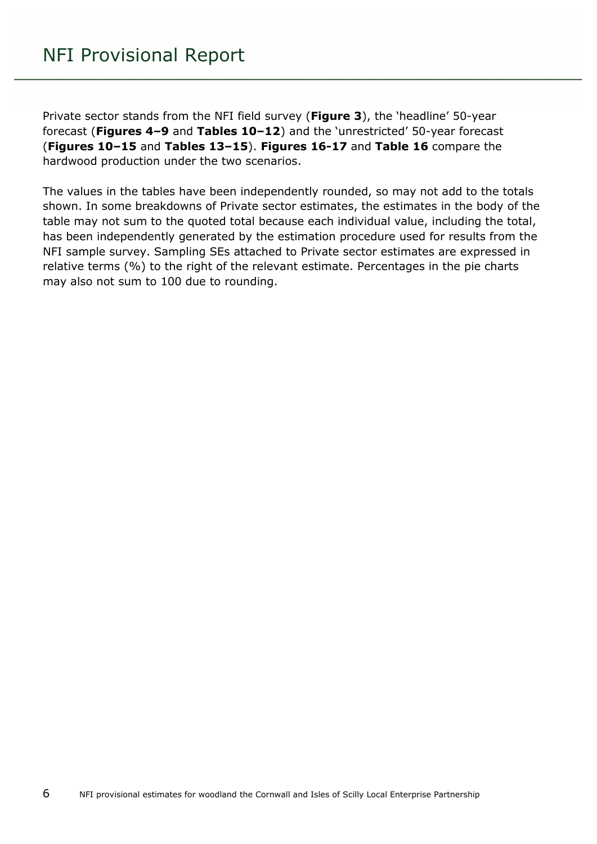Private sector stands from the NFI field survey (**Figure 3**), the 'headline' 50-year forecast (**Figures 4–9** and **Tables 10–12**) and the 'unrestricted' 50-year forecast (**Figures 10–15** and **Tables 13–15**). **Figures 16-17** and **Table 16** compare the hardwood production under the two scenarios.

The values in the tables have been independently rounded, so may not add to the totals shown. In some breakdowns of Private sector estimates, the estimates in the body of the table may not sum to the quoted total because each individual value, including the total, has been independently generated by the estimation procedure used for results from the NFI sample survey. Sampling SEs attached to Private sector estimates are expressed in relative terms (%) to the right of the relevant estimate. Percentages in the pie charts may also not sum to 100 due to rounding.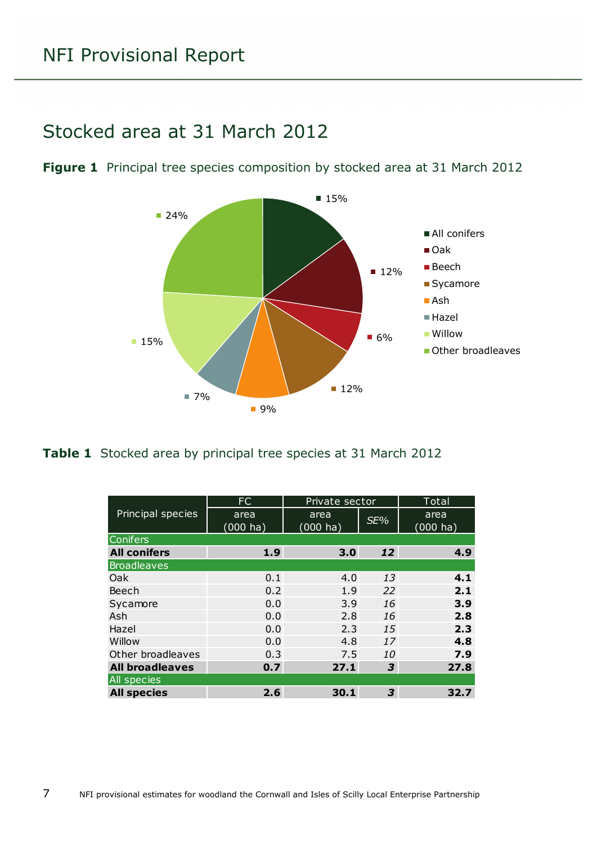### <span id="page-6-0"></span>Stocked area at 31 March 2012

<span id="page-6-1"></span>**Figure 1** Principal tree species composition by stocked area at 31 March 2012



<span id="page-6-2"></span>**Table 1** Stocked area by principal tree species at 31 March 2012

|                        | FC                  | Private sector             |     | Total                      |
|------------------------|---------------------|----------------------------|-----|----------------------------|
| Principal species      | area<br>$(000)$ ha) | area<br>$(000 \text{ ha})$ | SE% | area<br>$(000 \text{ ha})$ |
| <b>Conifers</b>        |                     |                            |     |                            |
| <b>All conifers</b>    | 1.9                 | 3.0                        | 12  | 4.9                        |
| <b>Broadleaves</b>     |                     |                            |     |                            |
| Oak                    | 0.1                 | 4.0                        | 13  | 4.1                        |
| Beech                  | 0.2                 | 1.9                        | 22  | 2.1                        |
| Sycamore               | 0.0                 | 3.9                        | 16  | 3.9                        |
| Ash                    | 0.0                 | 2.8                        | 16  | 2.8                        |
| Hazel                  | 0.0                 | 2.3                        | 15  | 2.3                        |
| Willow                 | 0.0                 | 4.8                        | 17  | 4.8                        |
| Other broadleaves      | 0.3                 | 7.5                        | 10  | 7.9                        |
| <b>All broadleaves</b> | 0.7                 | 27.1                       | 3   | 27.8                       |
| All species            |                     |                            |     |                            |
| <b>All species</b>     | 2.6                 | 30.1                       | 3   | 32.7                       |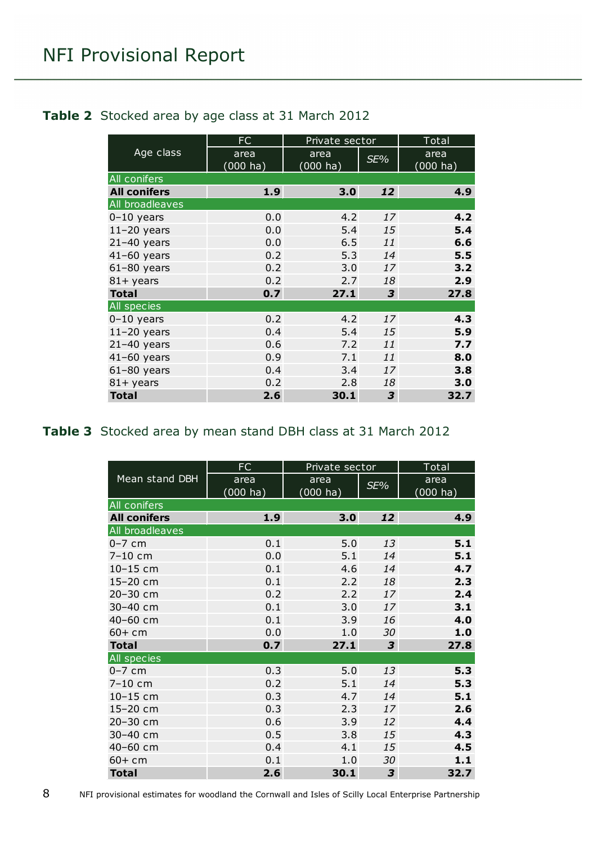|                     | FC                           | Private sector             |     | Total                      |
|---------------------|------------------------------|----------------------------|-----|----------------------------|
| Age class           | area<br>$(000 \; \text{ha})$ | area<br>$(000 \text{ ha})$ | SE% | area<br>$(000 \text{ ha})$ |
| All conifers        |                              |                            |     |                            |
| <b>All conifers</b> | 1.9                          | 3.0                        | 12  | 4.9                        |
| All broadleaves     |                              |                            |     |                            |
| $0-10$ years        | 0.0                          | 4.2                        | 17  | 4.2                        |
| $11-20$ years       | 0.0                          | 5.4                        | 15  | 5.4                        |
| $21-40$ years       | 0.0                          | 6.5                        | 11  | 6.6                        |
| $41-60$ years       | 0.2                          | 5.3                        | 14  | 5.5                        |
| $61-80$ years       | 0.2                          | 3.0                        | 17  | 3.2                        |
| $81 +$ years        | 0.2                          | 2.7                        | 18  | 2.9                        |
| <b>Total</b>        | 0.7                          | 27.1                       | 3   | 27.8                       |
| All species         |                              |                            |     |                            |
| $0-10$ years        | 0.2                          | 4.2                        | 17  | 4.3                        |
| $11-20$ years       | 0.4                          | 5.4                        | 15  | 5.9                        |
| $21-40$ years       | 0.6                          | 7.2                        | 11  | 7.7                        |
| $41-60$ years       | 0.9                          | 7.1                        | 11  | 8.0                        |
| $61-80$ years       | 0.4                          | 3.4                        | 17  | 3.8                        |
| $81 +$ years        | 0.2                          | 2.8                        | 18  | 3.0                        |
| <b>Total</b>        | 2.6                          | 30.1                       | 3   | 32.7                       |

#### <span id="page-7-0"></span>**Table 2** Stocked area by age class at 31 March 2012

#### <span id="page-7-1"></span>**Table 3** Stocked area by mean stand DBH class at 31 March 2012

|                     | FC                         | Private sector             |     | Total                      |
|---------------------|----------------------------|----------------------------|-----|----------------------------|
| Mean stand DBH      | area<br>$(000 \text{ ha})$ | area<br>$(000 \text{ ha})$ | SE% | area<br>$(000 \text{ ha})$ |
| All conifers        |                            |                            |     |                            |
| <b>All conifers</b> | 1.9                        | 3.0                        | 12  | 4.9                        |
| All broadleaves     |                            |                            |     |                            |
| $0-7$ cm            | 0.1                        | 5.0                        | 13  | 5.1                        |
| $7 - 10$ cm         | 0.0                        | 5.1                        | 14  | 5.1                        |
| 10-15 cm            | 0.1                        | 4.6                        | 14  | 4.7                        |
| 15-20 cm            | 0.1                        | 2.2                        | 18  | 2.3                        |
| 20-30 cm            | 0.2                        | 2.2                        | 17  | 2.4                        |
| 30-40 cm            | 0.1                        | 3.0                        | 17  | 3.1                        |
| 40-60 cm            | 0.1                        | 3.9                        | 16  | 4.0                        |
| $60+cm$             | 0.0                        | 1.0                        | 30  | 1.0                        |
| <b>Total</b>        | 0.7                        | 27.1                       | 3   | 27.8                       |
| All species         |                            |                            |     |                            |
| $0-7$ cm            | 0.3                        | 5.0                        | 13  | 5.3                        |
| 7-10 cm             | 0.2                        | 5.1                        | 14  | 5.3                        |
| 10-15 cm            | 0.3                        | 4.7                        | 14  | 5.1                        |
| 15-20 cm            | 0.3                        | 2.3                        | 17  | 2.6                        |
| 20-30 cm            | 0.6                        | 3.9                        | 12  | 4.4                        |
| 30-40 cm            | 0.5                        | 3.8                        | 15  | 4.3                        |
| 40-60 cm            | 0.4                        | 4.1                        | 15  | 4.5                        |
| $60 + cm$           | 0.1                        | 1.0                        | 30  | 1.1                        |
| <b>Total</b>        | 2.6                        | 30.1                       | 3   | 32.7                       |

8 NFI provisional estimates for woodland the Cornwall and Isles of Scilly Local Enterprise Partnership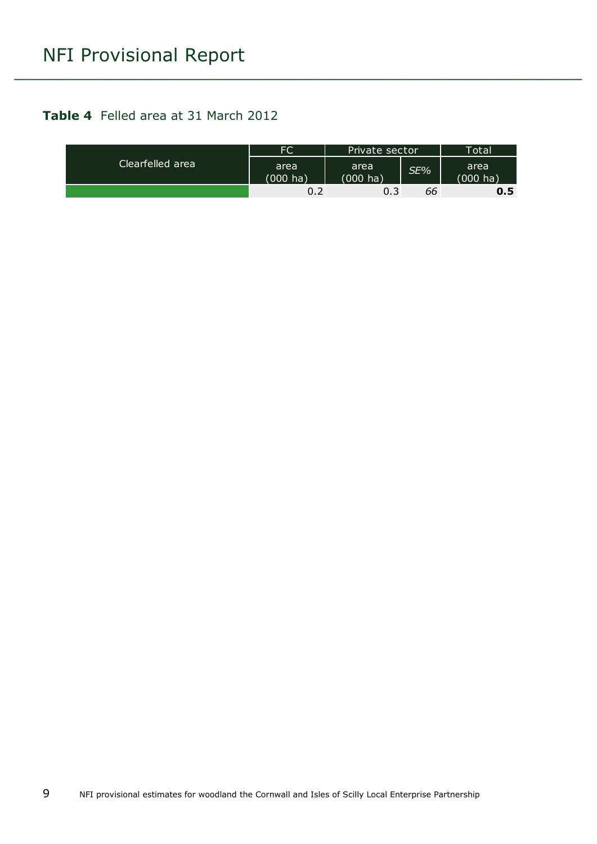#### <span id="page-8-0"></span>**Table 4** Felled area at 31 March 2012

| Clearfelled area | <b>FC</b>                  | Private sector             |     | <b>Total</b>               |
|------------------|----------------------------|----------------------------|-----|----------------------------|
|                  | area<br>$(000 \text{ ha})$ | area<br>$(000 \text{ ha})$ | SE% | area<br>$(000 \text{ ha})$ |
|                  | 0.2                        | 0.3                        | 66  | 0.5                        |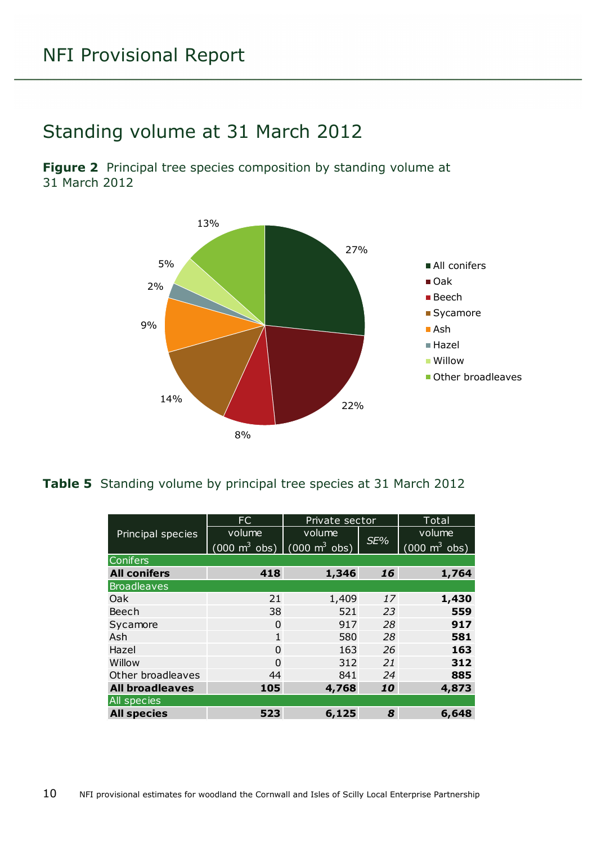## <span id="page-9-0"></span>Standing volume at 31 March 2012

<span id="page-9-1"></span>**Figure 2** Principal tree species composition by standing volume at 31 March 2012



#### <span id="page-9-2"></span>**Table 5** Standing volume by principal tree species at 31 March 2012

|                        | FC                                                              | Private sector |     | Total                           |  |  |
|------------------------|-----------------------------------------------------------------|----------------|-----|---------------------------------|--|--|
| Principal species      | volume                                                          | volume         |     | volume                          |  |  |
|                        | $(000 \text{ m}^3 \text{ obs})$ $(000 \text{ m}^3 \text{ obs})$ |                | SE% | $(000 \text{ m}^3 \text{ obs})$ |  |  |
| <b>Conifers</b>        |                                                                 |                |     |                                 |  |  |
| <b>All conifers</b>    | 418                                                             | 1,346          | 16  | 1,764                           |  |  |
| <b>Broadleaves</b>     |                                                                 |                |     |                                 |  |  |
| Oak                    | 21                                                              | 1,409          | 17  | 1,430                           |  |  |
| Beech                  | 38                                                              | 521            | 23  | 559                             |  |  |
| Sycamore               | 0                                                               | 917            | 28  | 917                             |  |  |
| Ash                    | $\mathbf{1}$                                                    | 580            | 28  | 581                             |  |  |
| Hazel                  | 0                                                               | 163            | 26  | 163                             |  |  |
| Willow                 | 0                                                               | 312            | 21  | 312                             |  |  |
| Other broadleaves      | 44                                                              | 841            | 24  | 885                             |  |  |
| <b>All broadleaves</b> | 105                                                             | 4,768          | 10  | 4,873                           |  |  |
| All species            |                                                                 |                |     |                                 |  |  |
| <b>All species</b>     | 523                                                             | 6,125          | 8   | 6,648                           |  |  |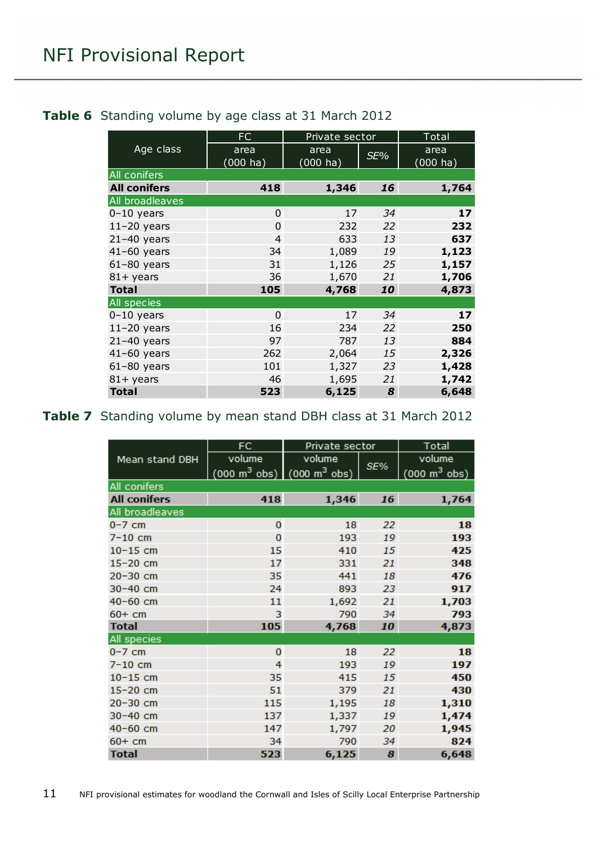#### <span id="page-10-0"></span>**Table 6** Standing volume by age class at 31 March 2012

|                     | FC             | Private sector     |     | Total    |
|---------------------|----------------|--------------------|-----|----------|
| Age class           | area           | area               | SE% | area     |
|                     | $(000)$ ha)    | $(000 \text{ ha})$ |     | (000 ha) |
| All conifers        |                |                    |     |          |
| <b>All conifers</b> | 418            | 1,346              | 16  | 1,764    |
| All broadleaves     |                |                    |     |          |
| $0-10$ years        | $\overline{0}$ | 17                 | 34  | 17       |
| $11-20$ years       | $\Omega$       | 232                | 22  | 232      |
| $21-40$ years       | $\overline{4}$ | 633                | 13  | 637      |
| $41-60$ years       | 34             | 1,089              | 19  | 1,123    |
| $61-80$ years       | 31             | 1,126              | 25  | 1,157    |
| $81 +$ years        | 36             | 1,670              | 21  | 1,706    |
| <b>Total</b>        | 105            | 4,768              | 10  | 4,873    |
| All species         |                |                    |     |          |
| $0-10$ years        | $\Omega$       | 17                 | 34  | 17       |
| $11-20$ years       | 16             | 234                | 22  | 250      |
| $21-40$ years       | 97             | 787                | 13  | 884      |
| $41-60$ years       | 262            | 2,064              | 15  | 2,326    |
| $61-80$ years       | 101            | 1,327              | 23  | 1,428    |
| $81 +$ years        | 46             | 1,695              | 21  | 1,742    |
| <b>Total</b>        | 523            | 6,125              | 8   | 6,648    |

#### <span id="page-10-1"></span>**Table 7** Standing volume by mean stand DBH class at 31 March 2012

|                     | FC                                                              | Private sector |     | <b>Total</b>                        |
|---------------------|-----------------------------------------------------------------|----------------|-----|-------------------------------------|
| Mean stand DBH      | volume                                                          | volume         |     | volume                              |
|                     | $(000 \text{ m}^3 \text{ obs})$ $(000 \text{ m}^3 \text{ obs})$ |                | SE% | $(000 \; \text{m}^3 \; \text{obs})$ |
| All conifers        |                                                                 |                |     |                                     |
| <b>All conifers</b> | 418                                                             | 1,346          | 16  | 1,764                               |
| All broadleaves     |                                                                 |                |     |                                     |
| $0-7$ cm            | $\mathbf 0$                                                     | 18             | 22  | 18                                  |
| $7-10$ cm           | $\bf{0}$                                                        | 193            | 19  | 193                                 |
| $10 - 15$ cm        | 15                                                              | 410            | 15  | 425                                 |
| $15-20$ cm          | 17                                                              | 331            | 21  | 348                                 |
| 20-30 cm            | 35                                                              | 441            | 18  | 476                                 |
| $30 - 40$ cm        | 24                                                              | 893            | 23  | 917                                 |
| $40 - 60$ cm        | 11                                                              | 1,692          | 21  | 1,703                               |
| $60+cm$             | 3                                                               | 790            | 34  | 793                                 |
| <b>Total</b>        | 105                                                             | 4,768          | 10  | 4,873                               |
| All species         |                                                                 |                |     |                                     |
| $0-7$ cm            | $\mathbf 0$                                                     | 18             | 22  | 18                                  |
| $7-10$ cm           | 4                                                               | 193            | 19  | 197                                 |
| $10-15$ cm          | 35                                                              | 415            | 15  | 450                                 |
| 15-20 cm            | 51                                                              | 379            | 21  | 430                                 |
| 20-30 cm            | 115                                                             | 1,195          | 18  | 1,310                               |
| 30-40 cm            | 137                                                             | 1,337          | 19  | 1,474                               |
| $40 - 60$ cm        | 147                                                             | 1,797          | 20  | 1,945                               |
| $60+cm$             | 34                                                              | 790            | 34  | 824                                 |
| <b>Total</b>        | 523                                                             | 6,125          | 8   | 6,648                               |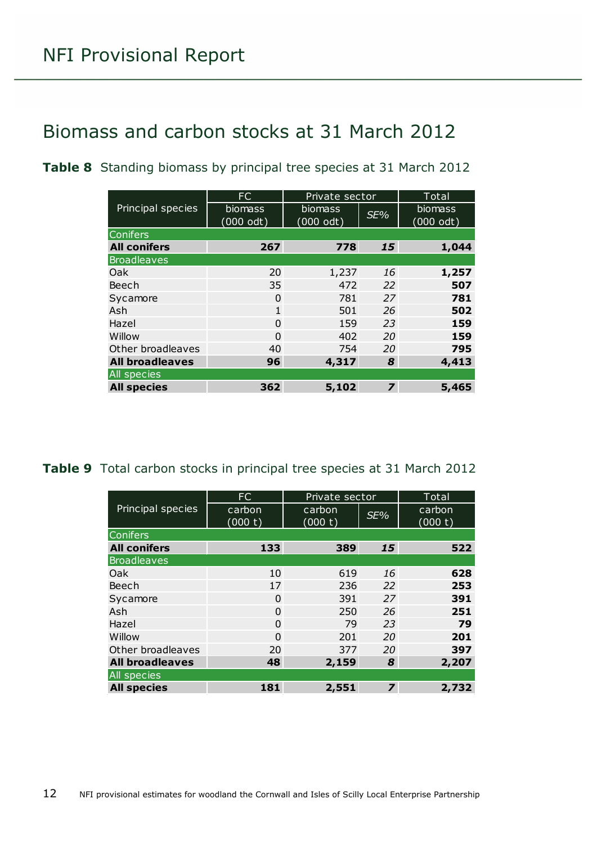### <span id="page-11-0"></span>Biomass and carbon stocks at 31 March 2012

<span id="page-11-1"></span>**Table 8** Standing biomass by principal tree species at 31 March 2012

|                        | FC                             | Private sector              |                | <b>Total</b>         |
|------------------------|--------------------------------|-----------------------------|----------------|----------------------|
| Principal species      | biomass<br>$(000 \text{ odt})$ | <b>biomass</b><br>(000 odt) | SE%            | biomass<br>(000 odt) |
| <b>Conifers</b>        |                                |                             |                |                      |
| <b>All conifers</b>    | 267                            | 778                         | 15             | 1,044                |
| <b>Broadleaves</b>     |                                |                             |                |                      |
| Oak                    | 20                             | 1,237                       | 16             | 1,257                |
| Beech                  | 35                             | 472                         | 22             | 507                  |
| Sycamore               | $\Omega$                       | 781                         | 27             | 781                  |
| Ash                    | $\mathbf{1}$                   | 501                         | 26             | 502                  |
| Hazel                  | $\Omega$                       | 159                         | 23             | 159                  |
| Willow                 | $\Omega$                       | 402                         | 20             | 159                  |
| Other broadleaves      | 40                             | 754                         | 20             | 795                  |
| <b>All broadleaves</b> | 96                             | 4,317                       | 8              | 4,413                |
| <b>All species</b>     |                                |                             |                |                      |
| <b>All species</b>     | 362                            | 5,102                       | $\overline{z}$ | 5,465                |

<span id="page-11-2"></span>**Table 9** Total carbon stocks in principal tree species at 31 March 2012

|                        | FC                | Private sector    |                         | Total             |
|------------------------|-------------------|-------------------|-------------------------|-------------------|
| Principal species      | carbon<br>(000 t) | carbon<br>(000 t) | SE%                     | carbon<br>(000 t) |
| <b>Conifers</b>        |                   |                   |                         |                   |
| <b>All conifers</b>    | 133               | 389               | 15                      | 522               |
| <b>Broadleaves</b>     |                   |                   |                         |                   |
| Oak                    | 10                | 619               | 16                      | 628               |
| Beech                  | 17                | 236               | 22                      | 253               |
| Sycamore               | $\Omega$          | 391               | 27                      | 391               |
| Ash                    | 0                 | 250               | 26                      | 251               |
| Hazel                  | $\Omega$          | 79                | 23                      | 79                |
| Willow                 | $\Omega$          | 201               | 20                      | 201               |
| Other broadleaves      | 20                | 377               | 20                      | 397               |
| <b>All broadleaves</b> | 48                | 2,159             | 8                       | 2,207             |
| <b>All species</b>     |                   |                   |                         |                   |
| <b>All species</b>     | 181               | 2,551             | $\overline{\mathbf{z}}$ | 2,732             |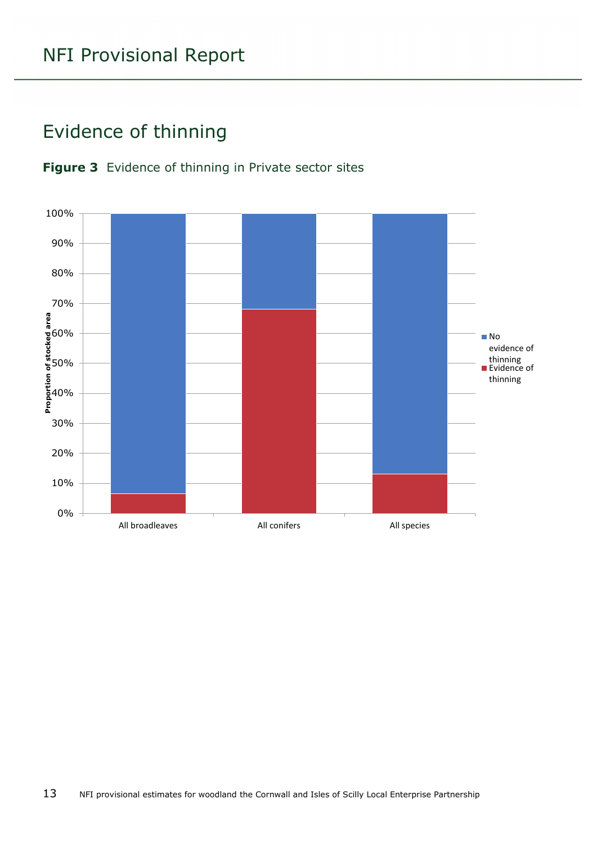## <span id="page-12-0"></span>Evidence of thinning

<span id="page-12-1"></span>

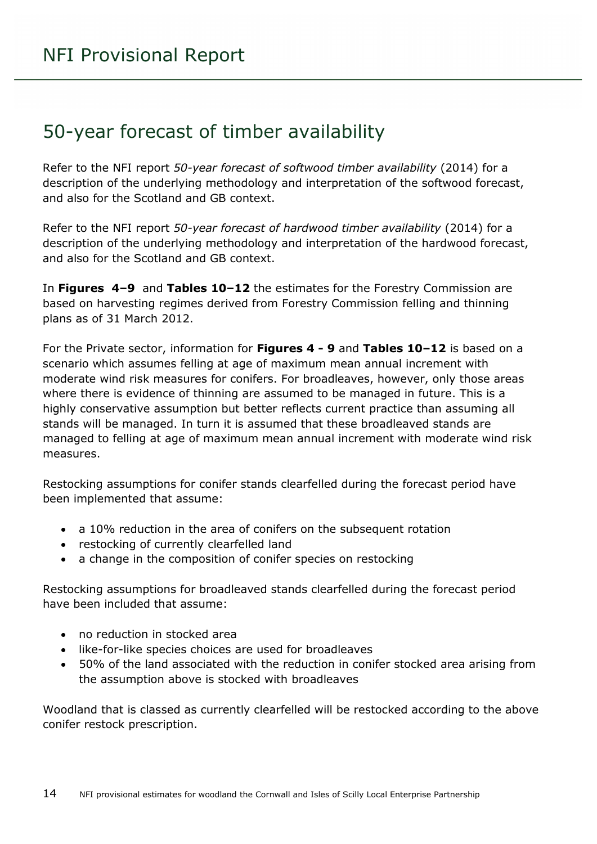### <span id="page-13-0"></span>50-year forecast of timber availability

Refer to the NFI report *50-year forecast of softwood timber availability* (2014) for a description of the underlying methodology and interpretation of the softwood forecast, and also for the Scotland and GB context.

Refer to the NFI report *50-year forecast of hardwood timber availability* (2014) for a description of the underlying methodology and interpretation of the hardwood forecast, and also for the Scotland and GB context.

In **Figures 4–9** and **Tables 10–12** the estimates for the Forestry Commission are based on harvesting regimes derived from Forestry Commission felling and thinning plans as of 31 March 2012.

For the Private sector, information for **Figures 4 - 9** and **Tables 10–12** is based on a scenario which assumes felling at age of maximum mean annual increment with moderate wind risk measures for conifers. For broadleaves, however, only those areas where there is evidence of thinning are assumed to be managed in future. This is a highly conservative assumption but better reflects current practice than assuming all stands will be managed. In turn it is assumed that these broadleaved stands are managed to felling at age of maximum mean annual increment with moderate wind risk measures.

Restocking assumptions for conifer stands clearfelled during the forecast period have been implemented that assume:

- a 10% reduction in the area of conifers on the subsequent rotation
- restocking of currently clearfelled land
- a change in the composition of conifer species on restocking

Restocking assumptions for broadleaved stands clearfelled during the forecast period have been included that assume:

- no reduction in stocked area
- like-for-like species choices are used for broadleaves
- 50% of the land associated with the reduction in conifer stocked area arising from the assumption above is stocked with broadleaves

Woodland that is classed as currently clearfelled will be restocked according to the above conifer restock prescription.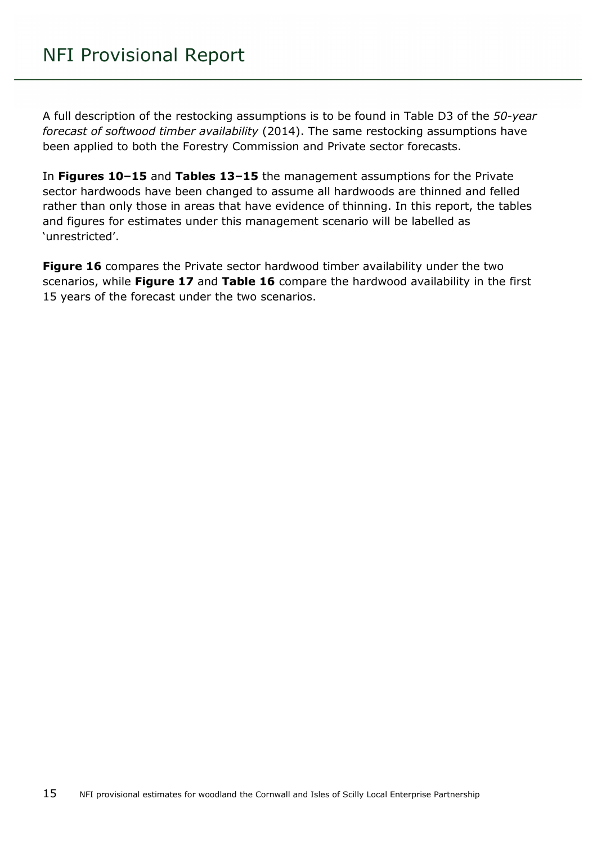A full description of the restocking assumptions is to be found in Table D3 of the *50-year forecast of softwood timber availability* (2014). The same restocking assumptions have been applied to both the Forestry Commission and Private sector forecasts.

In **Figures 10–15** and **Tables 13–15** the management assumptions for the Private sector hardwoods have been changed to assume all hardwoods are thinned and felled rather than only those in areas that have evidence of thinning. In this report, the tables and figures for estimates under this management scenario will be labelled as 'unrestricted'.

**Figure 16** compares the Private sector hardwood timber availability under the two scenarios, while **Figure 17** and **Table 16** compare the hardwood availability in the first 15 years of the forecast under the two scenarios.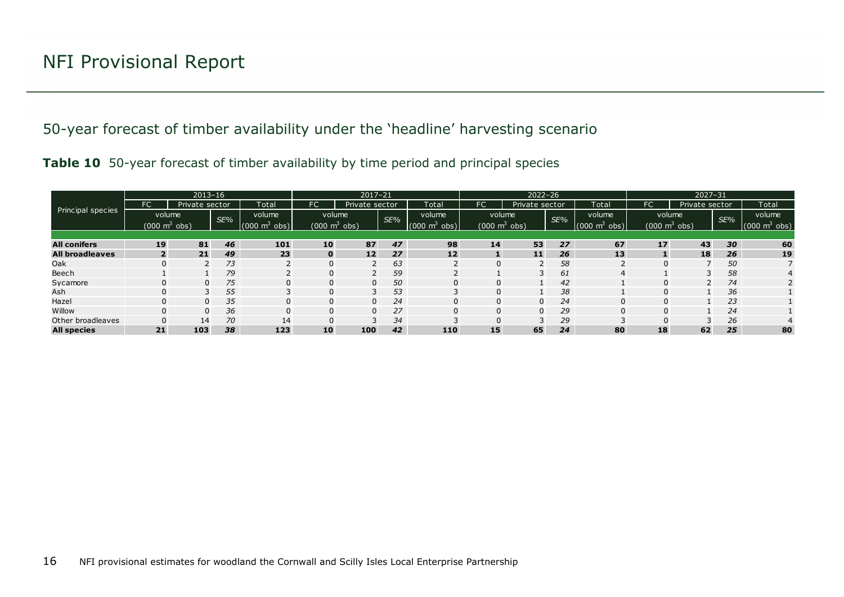50-year forecast of timber availability under the 'headline' harvesting scenario

|  |  |  | Table 10 50-year forecast of timber availability by time period and principal species |  |
|--|--|--|---------------------------------------------------------------------------------------|--|

<span id="page-15-1"></span><span id="page-15-0"></span>

|                        |                | $2013 - 16$                     |    |                               | $2017 - 21$ |                                 |     |                             |                                 | $2022 - 26$    |     |                     | $2027 - 31$ |                                 |     |                                 |
|------------------------|----------------|---------------------------------|----|-------------------------------|-------------|---------------------------------|-----|-----------------------------|---------------------------------|----------------|-----|---------------------|-------------|---------------------------------|-----|---------------------------------|
|                        | FC             | Private sector                  |    | Total                         | FC'         | Private sector                  |     | Total                       | FC                              | Private sector |     | Total               | FC          | Private sector                  |     | Total                           |
| Principal species      | volume<br>SE%  |                                 |    | volume                        |             | volume                          | SE% | volume                      | volume                          |                | SE% | volume              |             | volume                          | SE% | volume                          |
|                        |                | $(000 \text{ m}^3 \text{ obs})$ |    | obs)<br>$(000 \; \text{m}^3)$ |             | $(000 \text{ m}^3 \text{ obs})$ |     | $(000 \text{ m}^3)$<br>obs) | $(000 \text{ m}^3 \text{ obs})$ |                |     | (000)<br>obs)<br>്ന |             | $(000 \text{ m}^3 \text{ obs})$ |     | $(000 \text{ m}^3 \text{ obs})$ |
|                        |                |                                 |    |                               |             |                                 |     |                             |                                 |                |     |                     |             |                                 |     |                                 |
| <b>All conifers</b>    | 19             | 81                              | 46 | 101                           | 10          | 87                              | 47  | 98                          | 14                              | 53             | 27  | 67                  | 17          | 43                              | 30  | 60                              |
| <b>All broadleaves</b> | $\overline{2}$ | 21                              | 49 | 23                            | $\mathbf 0$ | 12                              | 27  | 12                          |                                 | 11             | 26  | 13                  |             | 18                              | 26  | 19                              |
| Oak                    |                |                                 | 73 |                               | 0           |                                 | 63  |                             |                                 |                | 58  |                     | 0           |                                 | 50  |                                 |
| Beech                  |                |                                 | 79 |                               | 0           |                                 | 59  |                             |                                 |                | 61  | 4                   |             |                                 | 58  | 4                               |
| Sycamore               |                | $\Omega$                        | 75 | $\Omega$                      | 0           | $\Omega$                        | 50  | $\Omega$                    |                                 |                | 42  |                     | 0           |                                 | 74  |                                 |
| Ash                    |                |                                 | 55 |                               | 0           | 3                               | 53  |                             |                                 |                | 38  |                     | 0           |                                 | 36  |                                 |
| Hazel                  |                | $\Omega$                        | 35 | $\Omega$                      | 0           | $\Omega$                        | 24  |                             |                                 | $\Omega$       | 24  | $\Omega$            | $\Omega$    |                                 | 23  |                                 |
| Willow                 |                | $\Omega$                        | 36 | $\Omega$                      | 0           | $\Omega$                        | 27  |                             |                                 | $\Omega$       | 29  | $\Omega$            | 0           |                                 | 24  |                                 |
| Other broadleaves      |                | 14                              | 70 | 14                            | 0           |                                 | 34  |                             |                                 |                | 29  |                     | 0           |                                 | 26  |                                 |
| <b>All species</b>     | 21             | 103                             | 38 | 123                           | 10          | 100                             | 42  | 110                         | 15                              | 65             | 24  | 80                  | 18          | 62                              | 25  | 80                              |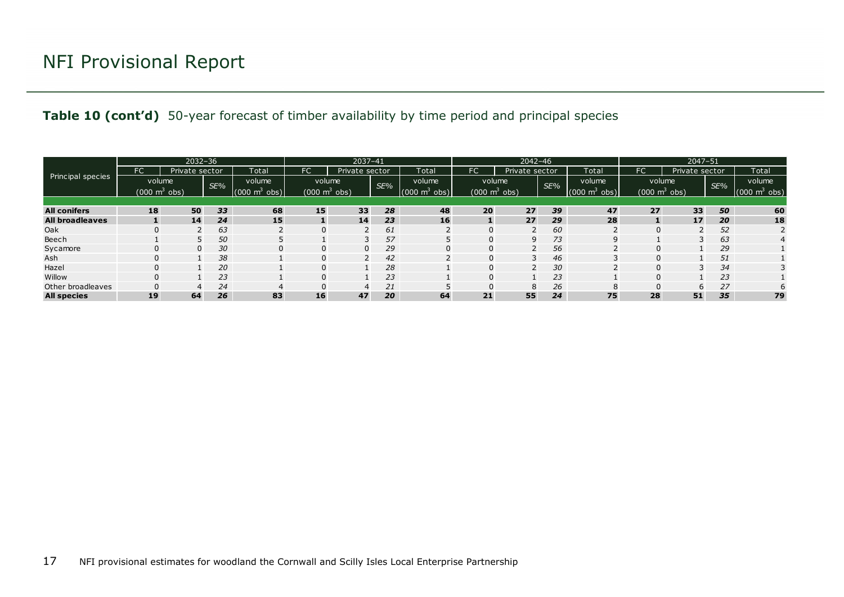#### **Table 10 (cont'd)** 50-year forecast of timber availability by time period and principal species

|                        |           | $2032 - 36$                         |     |                             |                          | 2037-41        |     |                                 |                                 | $2042 - 46$    |     |                                 | 2047-51 |                                 |     |                                 |
|------------------------|-----------|-------------------------------------|-----|-----------------------------|--------------------------|----------------|-----|---------------------------------|---------------------------------|----------------|-----|---------------------------------|---------|---------------------------------|-----|---------------------------------|
|                        | <b>FC</b> | Private sector                      |     | Total                       | FC                       | Private sector |     | Total                           | FC                              | Private sector |     | Total                           | FC.     | Private sector                  |     | Total                           |
| Principal species      |           | volume                              | SE% | volume                      | volume                   |                | SE% | volume                          | volume                          |                | SE% | volume                          | volume  |                                 | SE% | volume                          |
|                        |           | $(000 \; \text{m}^3 \; \text{obs})$ |     | obs)<br>$(000 \text{ m}^3)$ | (000 $\mathsf{m}^3$ obs) |                |     | (000)<br>obs)<br>m <sup>2</sup> | $(000 \text{ m}^3 \text{ obs})$ |                |     | $(000 \text{ m}^3 \text{ obs})$ |         | $(000 \text{ m}^3 \text{ obs})$ |     | $(000 \text{ m}^3 \text{ obs})$ |
|                        |           |                                     |     |                             |                          |                |     |                                 |                                 |                |     |                                 |         |                                 |     |                                 |
| <b>All conifers</b>    | 18        | 50                                  | 33  | 68                          | 15                       | 33             | 28  | 48                              | 20 <sup>°</sup>                 | 27             | 39  | 47                              | 27      | 33                              | 50  | 60                              |
| <b>All broadleaves</b> |           | 14                                  | 24  | 15                          |                          | 14             | 23  | 16                              |                                 | 27             | 29  | 28                              |         | 17 <sup>2</sup>                 | 20  | 18                              |
| Oak                    |           |                                     | 63  |                             |                          |                | 61  |                                 |                                 |                | 60  |                                 |         |                                 | 52  |                                 |
| Beech                  |           |                                     | 50  |                             |                          |                | 57  |                                 | 0                               | 9              | 73  | 9                               |         |                                 | 63  | $\overline{4}$                  |
| Sycamore               | $\Omega$  | $\Omega$                            | 30  | $\Omega$                    | 0                        | $\mathbf 0$    | 29  |                                 |                                 |                | 56  |                                 |         |                                 | 29  |                                 |
| Ash                    | 0         |                                     | 38  |                             | 0                        |                | 42  |                                 |                                 | ∍              | 46  |                                 |         |                                 | 51  |                                 |
| Hazel                  | 0         |                                     | 20  |                             | 0                        |                | 28  |                                 | 0                               |                | 30  |                                 |         |                                 | 34  |                                 |
| Willow                 |           |                                     | 23  |                             | 0                        |                | 23  |                                 |                                 |                | 23  |                                 |         |                                 | 23  |                                 |
| Other broadleaves      |           |                                     | 24  | Δ                           |                          | 4              | 21  |                                 |                                 | 8              | 26  | 8                               |         | b                               | 27  |                                 |
| <b>All species</b>     | 19        | 64                                  | 26  | 83                          | 16                       | 47             | 20  | 64                              | 21                              | 55             | 24  | 75                              | 28      | 51                              | 35  | 79                              |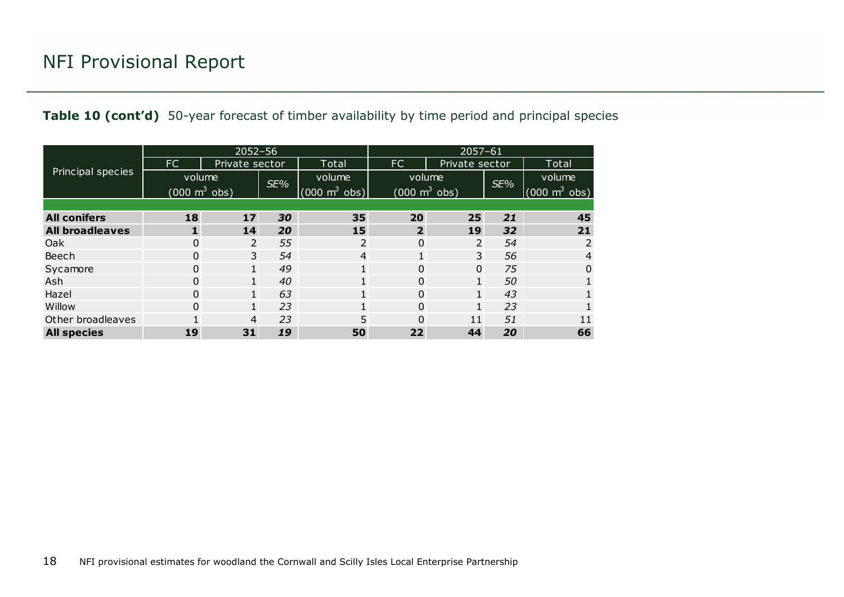|                        |                            | $2052 - 56$    |     |                                 | $2057 - 61$  |                            |     |                                 |  |  |  |
|------------------------|----------------------------|----------------|-----|---------------------------------|--------------|----------------------------|-----|---------------------------------|--|--|--|
|                        | FC                         | Private sector |     | Total                           | FC.          | Private sector             |     | Total                           |  |  |  |
| Principal species      | volume                     |                | SE% | volume                          | volume       |                            | SE% | volume                          |  |  |  |
|                        | (000 $\mathrm{m}^{3}$ obs) |                |     | $(000 \text{ m}^3 \text{ obs})$ |              | (000 $\mathrm{m}^{3}$ obs) |     | $(000 \text{ m}^3 \text{ obs})$ |  |  |  |
|                        |                            |                |     |                                 |              |                            |     |                                 |  |  |  |
| <b>All conifers</b>    | 18                         | 17             | 30  | 35                              | 20           | 25                         | 21  | 45                              |  |  |  |
| <b>All broadleaves</b> | 1                          | 14             | 20  | 15                              | $\mathbf{2}$ | 19                         | 32  | 21                              |  |  |  |
| Oak                    | $\Omega$                   | 2              | 55  | 2                               | 0            | $\overline{2}$             | 54  | 2                               |  |  |  |
| Beech                  | 0                          | 3              | 54  | 4                               | 1            | 3                          | 56  | 4                               |  |  |  |
| Sycamore               | $\Omega$                   | $\mathbf{1}$   | 49  |                                 | 0            | $\Omega$                   | 75  | 0                               |  |  |  |
| Ash                    | 0                          | $\mathbf{1}$   | 40  |                                 | 0            |                            | 50  |                                 |  |  |  |
| Hazel                  | 0                          | $\mathbf{1}$   | 63  |                                 | 0            |                            | 43  |                                 |  |  |  |
| Willow                 | $\Omega$                   | $\mathbf{1}$   | 23  |                                 | 0            |                            | 23  |                                 |  |  |  |
| Other broadleaves      | 4                          |                | 23  | 5                               | 0<br>11      |                            | 51  | 11                              |  |  |  |
| <b>All species</b>     | 19                         | 31             | 19  | 50                              | 22           | 44                         | 20  | 66                              |  |  |  |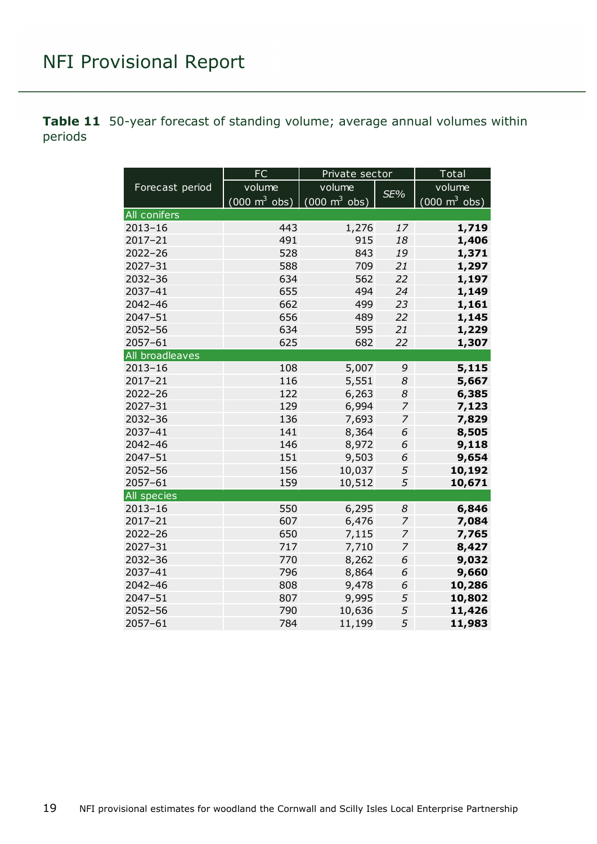<span id="page-18-0"></span>**Table 11** 50-year forecast of standing volume; average annual volumes within periods

|                 | FC                              | Private sector                      |                | Total                           |  |  |
|-----------------|---------------------------------|-------------------------------------|----------------|---------------------------------|--|--|
| Forecast period | volume                          | volume                              |                | volume                          |  |  |
|                 | $(000 \text{ m}^3 \text{ obs})$ | $(000 \; \text{m}^3 \; \text{obs})$ | SE%            | $(000 \text{ m}^3 \text{ obs})$ |  |  |
| All conifers    |                                 |                                     |                |                                 |  |  |
| $2013 - 16$     | 443                             | 1,276                               | 17             | 1,719                           |  |  |
| 2017-21         | 491                             | 915                                 | 18             | 1,406                           |  |  |
| 2022-26         | 528                             | 843                                 | 19             | 1,371                           |  |  |
| $2027 - 31$     | 588                             | 709                                 | 21             | 1,297                           |  |  |
| $2032 - 36$     | 634                             | 562                                 | 22             | 1,197                           |  |  |
| 2037-41         | 655                             | 494                                 | 24             | 1,149                           |  |  |
| $2042 - 46$     | 662                             | 499                                 | 23             | 1,161                           |  |  |
| 2047-51         | 656                             | 489                                 | 22             | 1,145                           |  |  |
| 2052-56         | 634                             | 595                                 | 21             | 1,229                           |  |  |
| 2057-61         | 625                             | 682                                 | 22             | 1,307                           |  |  |
| All broadleaves |                                 |                                     |                |                                 |  |  |
| $2013 - 16$     | 108                             | 5,007                               | 9              | 5,115                           |  |  |
| $2017 - 21$     | 116                             | 5,551                               | 8              | 5,667                           |  |  |
| $2022 - 26$     | 122                             | 6,263                               | 8              | 6,385                           |  |  |
| $2027 - 31$     | 129                             | 6,994                               | 7              | 7,123                           |  |  |
| 2032-36         | 136                             | 7,693                               | 7              | 7,829                           |  |  |
| 2037-41         | 141                             | 8,364                               | 6              | 8,505                           |  |  |
| $2042 - 46$     | 146                             | 8,972                               | 6              | 9,118                           |  |  |
| $2047 - 51$     | 151                             | 9,503                               | 6              | 9,654                           |  |  |
| $2052 - 56$     | 156                             | 10,037                              | 5              | 10,192                          |  |  |
| 2057-61         | 159                             | 10,512                              | 5              | 10,671                          |  |  |
| All species     |                                 |                                     |                |                                 |  |  |
| $2013 - 16$     | 550                             | 6,295                               | 8              | 6,846                           |  |  |
| $2017 - 21$     | 607                             | 6,476                               | $\overline{z}$ | 7,084                           |  |  |
| $2022 - 26$     | 650                             | 7,115                               | 7              | 7,765                           |  |  |
| $2027 - 31$     | 717                             | 7,710                               | 7              | 8,427                           |  |  |
| 2032-36         | 770                             | 8,262                               | 6              | 9,032                           |  |  |
| 2037-41         | 796                             | 8,864                               | 6              | 9,660                           |  |  |
| $2042 - 46$     | 808                             | 9,478                               | 6              | 10,286                          |  |  |
| 2047-51         | 807                             | 9,995                               | 5              | 10,802                          |  |  |
| $2052 - 56$     | 790                             | 10,636                              | 5              | 11,426                          |  |  |
| 2057-61         | 784                             | 11,199                              | 5              | 11,983                          |  |  |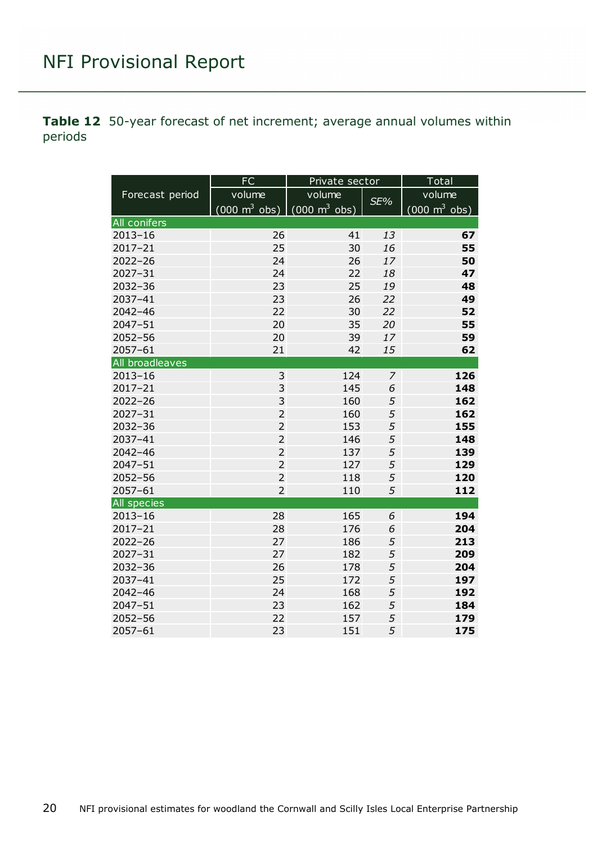<span id="page-19-0"></span>**Table 12** 50-year forecast of net increment; average annual volumes within periods

|                 | <b>FC</b>                                                       | Private sector |                | $\overline{\mathsf{T}}$ otal    |  |  |
|-----------------|-----------------------------------------------------------------|----------------|----------------|---------------------------------|--|--|
| Forecast period | volume                                                          | volume         |                | volume                          |  |  |
|                 | $(000 \text{ m}^3 \text{ obs})$ $(000 \text{ m}^3 \text{ obs})$ |                | SE%            | $(000 \text{ m}^3 \text{ obs})$ |  |  |
| All conifers    |                                                                 |                |                |                                 |  |  |
| $2013 - 16$     | 26                                                              | 41             | 13             | 67                              |  |  |
| 2017-21         | 25                                                              | 30             | 16             | 55                              |  |  |
| $2022 - 26$     | 24                                                              | 26             | 17             | 50                              |  |  |
| $2027 - 31$     | 24                                                              | 22             | 18             | 47                              |  |  |
| 2032-36         | 23                                                              | 25             | 19             | 48                              |  |  |
| 2037-41         | 23                                                              | 26             | 22             | 49                              |  |  |
| $2042 - 46$     | 22                                                              | 30             | 22             | 52                              |  |  |
| 2047-51         | 20                                                              | 35             | 20             | 55                              |  |  |
| $2052 - 56$     | 20                                                              | 39             | 17             | 59                              |  |  |
| 2057-61         | 21                                                              | 42             | 15             | 62                              |  |  |
| All broadleaves |                                                                 |                |                |                                 |  |  |
| $2013 - 16$     | 3                                                               | 124            | $\overline{z}$ | 126                             |  |  |
| 2017-21         | 3                                                               | 145            | 6              | 148                             |  |  |
| $2022 - 26$     | 3                                                               | 160            | 5              | 162                             |  |  |
| $2027 - 31$     | $\overline{2}$                                                  | 160            | 5              | 162                             |  |  |
| 2032-36         | $\overline{2}$                                                  | 153            | 5              | 155                             |  |  |
| 2037-41         | $\overline{2}$                                                  | 146            | 5              | 148                             |  |  |
| $2042 - 46$     | $\overline{2}$                                                  | 137            | 5              | 139                             |  |  |
| $2047 - 51$     | $\overline{2}$                                                  | 127            | 5              | 129                             |  |  |
| $2052 - 56$     | $\overline{2}$                                                  | 118            | 5              | 120                             |  |  |
| 2057-61         | $\overline{2}$                                                  | 110            | 5              | 112                             |  |  |
| All species     |                                                                 |                |                |                                 |  |  |
| $2013 - 16$     | 28                                                              | 165            | 6              | 194                             |  |  |
| 2017-21         | 28                                                              | 176            | 6              | 204                             |  |  |
| $2022 - 26$     | 27                                                              | 186            | 5              | 213                             |  |  |
| $2027 - 31$     | 27                                                              | 182            | 5              | 209                             |  |  |
| $2032 - 36$     | 26                                                              | 178            | 5              | 204                             |  |  |
| 2037-41         | 25                                                              | 172            | 5              | 197                             |  |  |
| 2042-46         | 24                                                              | 168            | 5              | 192                             |  |  |
| 2047-51         | 23                                                              | 162            | 5              | 184                             |  |  |
| $2052 - 56$     | 22                                                              | 157            | 5              | 179                             |  |  |
| 2057-61         | 23                                                              | 151            | 5              | 175                             |  |  |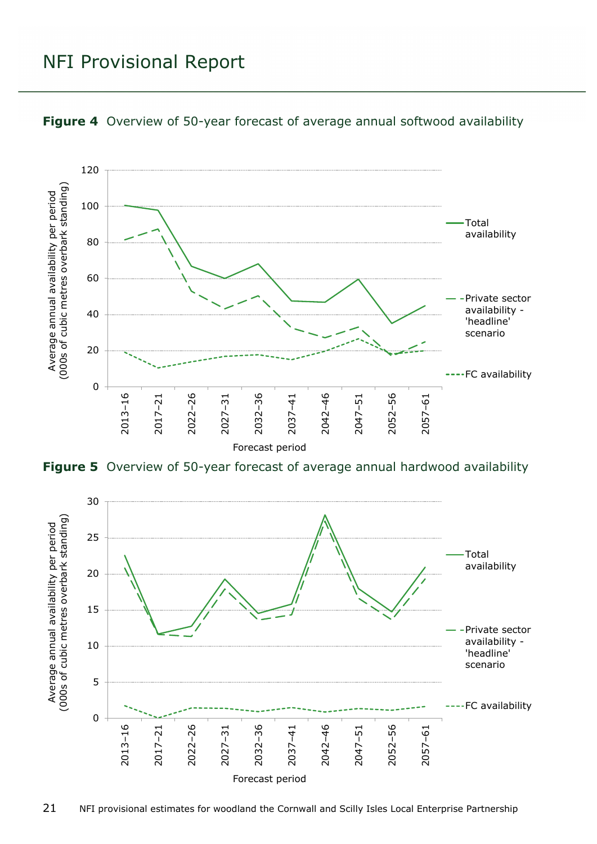

<span id="page-20-0"></span>

<span id="page-20-1"></span>**Figure 5** Overview of 50-year forecast of average annual hardwood availability

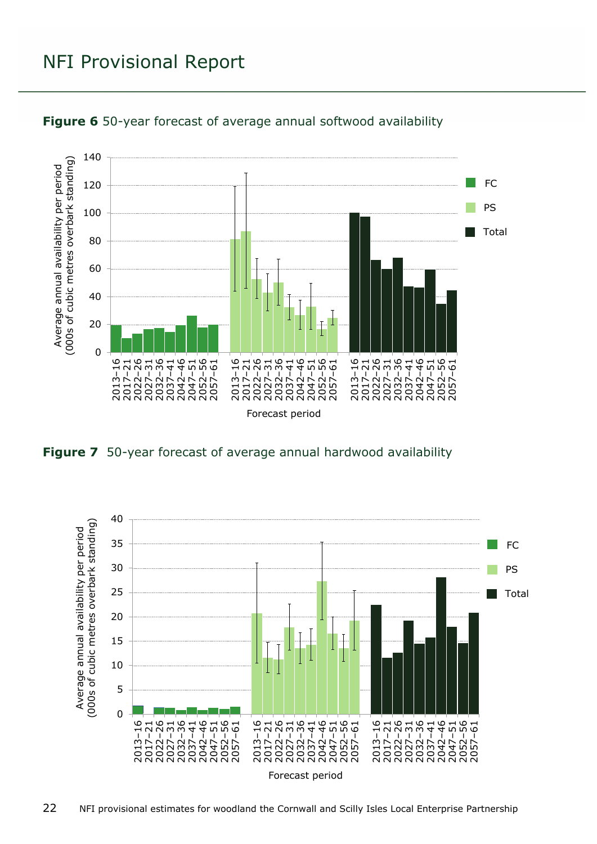

<span id="page-21-0"></span>

<span id="page-21-1"></span>

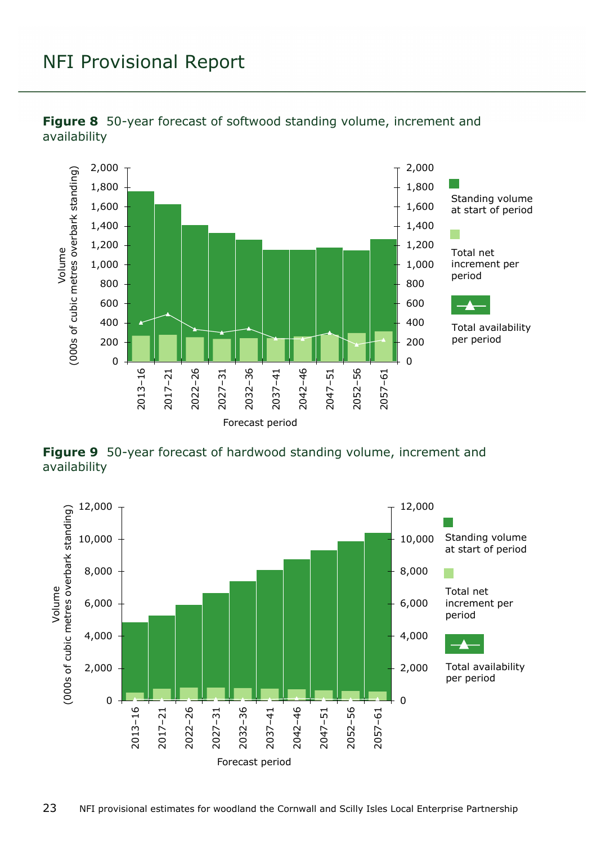

<span id="page-22-0"></span>

<span id="page-22-1"></span>**Figure 9** 50-year forecast of hardwood standing volume, increment and availability

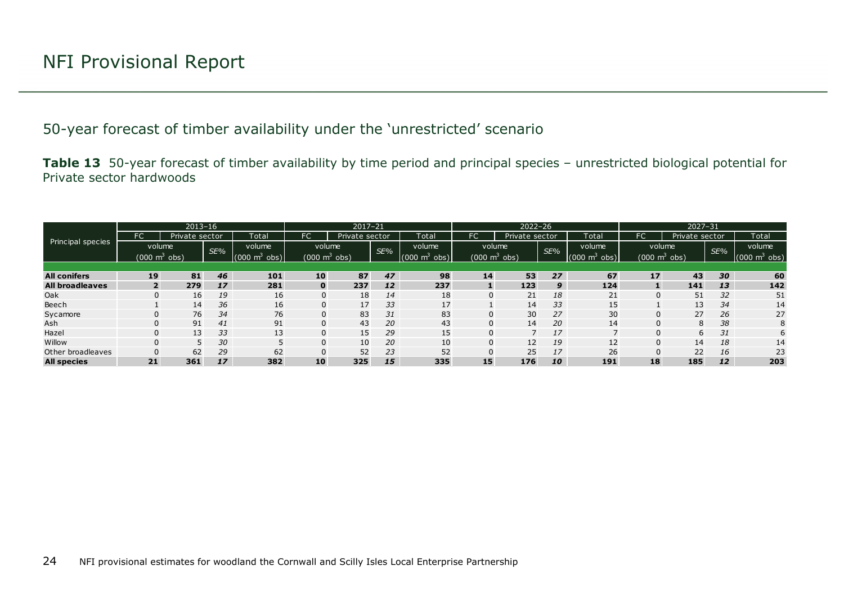50-year forecast of timber availability under the 'unrestricted' scenario

**Table 13** 50-year forecast of timber availability by time period and principal species – unrestricted biological potential for Private sector hardwoods

<span id="page-23-1"></span><span id="page-23-0"></span>

|                        |                                 | $2013 - 16$     |     |                               |                            | $2017 - 21$    |     |                                | $2022 - 26$ |                |     |                                 | $2027 - 31$                     |                |     |                         |
|------------------------|---------------------------------|-----------------|-----|-------------------------------|----------------------------|----------------|-----|--------------------------------|-------------|----------------|-----|---------------------------------|---------------------------------|----------------|-----|-------------------------|
|                        | <b>FC</b>                       | Private sector  |     | Total                         | FC                         | Private sector |     | Total                          | FC'         | Private sector |     | Total                           | <b>FC</b>                       | Private sector |     | Total                   |
| Principal species      | volume                          |                 | SE% | volume                        | volume                     |                | SE% | volume                         | volume      |                | SE% | volume                          | volume                          |                | SE% | volume                  |
|                        | $(000 \text{ m}^3 \text{ obs})$ |                 |     | nnn<br>m <sup>2</sup><br>obs) | (000 $\mathrm{m}^{3}$ obs) |                |     | (000<br>obs)<br>m <sup>3</sup> | (000)       | $m^3$ obs)     |     | (000)<br>obs)<br>m <sup>3</sup> | $(000 \text{ m}^3 \text{ obs})$ |                |     | 000 m <sup>3</sup> obs) |
|                        |                                 |                 |     |                               |                            |                |     |                                |             |                |     |                                 |                                 |                |     |                         |
| <b>All conifers</b>    | 19                              | 81              | 46  | 101                           | 10                         | 87             | 47  | 98                             | 14          | 53             | 27  | 67                              | 17                              | 43             | 30  | 60                      |
| <b>All broadleaves</b> |                                 | 279             | 17  | 281                           | $\mathbf{0}$               | 237            | 12  | 237                            |             | 123            | 9   | 124                             |                                 | 141            | 13  | 142                     |
| Oak                    | $\Omega$                        | 16 <sub>1</sub> | 19  | 16                            | $\overline{0}$             | 18             | 14  | 18                             | U           | 21             | 18  | 21                              | $\Omega$                        | 51             | 32  | 51                      |
| Beech                  |                                 | 14              | 36  | 16                            | 0                          | 17             | 33  | 17                             |             | 14             | 33  | 15                              |                                 | 13             | 34  | 14                      |
| Sycamore               |                                 | 76              | 34  | 76                            | 0                          | 83             | 31  | 83                             |             | 30             | 27  | 30                              | $\Omega$                        | 27             | 26  | 27                      |
| Ash                    | $\Omega$                        | 91              | 41  | 91                            | 0                          | 43             | 20  | 43                             |             | 14             | 20  | 14                              | $\Omega$                        | 8              | 38  | 8                       |
| Hazel                  | $\Omega$                        | 13              | 33  | 13                            | $\overline{0}$             | 15             | 29  | 15                             | U           |                | 17  |                                 | $\Omega$                        | 6              | 31  | 6                       |
| Willow                 |                                 |                 | 30  |                               | 0                          | 10             | 20  | 10                             |             | 12             | 19  | 12                              | 0                               | 14             | 18  | 14                      |
| Other broadleaves      |                                 | 62              | 29  | 62                            | 0                          | 52             | 23  | 52                             |             | 25             | 17  | 26                              |                                 | 22             | 16  | 23                      |
| <b>All species</b>     | 21                              | 361             | 17  | 382                           | 10                         | 325            | 15  | 335                            | 15          | 176            | 10  | 191                             | 18                              | 185            | 12  | 203                     |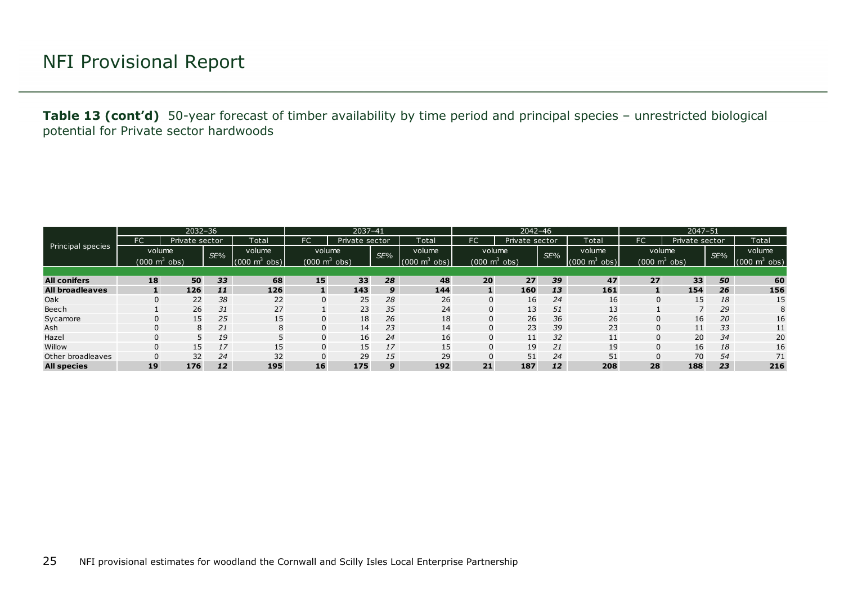**Table 13 (cont'd)** 50-year forecast of timber availability by time period and principal species – unrestricted biological potential for Private sector hardwoods

|                        |        | $2032 - 36$            |     |                               |             | 2037-41                             |     | $2042 - 46$                   |             |                |     | $2047 - 51$                   |                                 |                |     |                                     |
|------------------------|--------|------------------------|-----|-------------------------------|-------------|-------------------------------------|-----|-------------------------------|-------------|----------------|-----|-------------------------------|---------------------------------|----------------|-----|-------------------------------------|
|                        | FC     | Private sector         |     | Total                         | FC          | Private sector                      |     | Total                         | FC.         | Private sector |     | Total                         | FC                              | Private sector |     | Total                               |
| Principal species      | volume |                        | SE% | volume                        | volume      |                                     | SE% | volume                        | volume      |                | SE% | volume                        | volume                          |                | SE% | volume                              |
|                        |        | (000 $\text{m}^3$ obs) |     | $(000 \; \text{m}^3)$<br>obs) |             | $(000 \; \text{m}^3 \; \text{obs})$ |     | $(000 \; \text{m}^3)$<br>obs) | (000 m $^3$ | obs)           |     | $(000 \; \text{m}^3)$<br>obs) | $(000 \text{ m}^3 \text{ obs})$ |                |     | $(000 \; \text{m}^3 \; \text{obs})$ |
|                        |        |                        |     |                               |             |                                     |     |                               |             |                |     |                               |                                 |                |     |                                     |
| <b>All conifers</b>    | 18     | 50                     | 33  | 68                            | 15          | 33                                  | 28  | 48                            | 20          | 27             | 39  | 47                            | 27                              | 33             | 50  | 60                                  |
| <b>All broadleaves</b> |        | 126                    | 11  | 126                           |             | 143                                 | 9   | 144                           |             | 160            | 13  | 161                           | $\mathbf{1}$                    | 154            | 26  | 156                                 |
| Oak                    |        | 22                     | 38  | 22                            | 0           | 25                                  | 28  | 26                            |             | 16             | 24  | 16                            | 0                               | 15             | 18  | 15                                  |
| Beech                  |        | 26                     | 31  | 27                            |             | 23                                  | 35  | 24                            |             | 13             | 51  | 13                            |                                 | ⇁              | 29  | 8                                   |
| Sycamore               |        | 15                     | 25  | 15                            | 0           | 18                                  | 26  | 18                            |             | 26             | 36  | 26                            | 0                               | 16             | 20  | 16                                  |
| Ash                    |        | 8                      | 21  | 8                             | 0           | 14                                  | 23  | 14                            |             | 23             | 39  | 23                            | 0                               | 11             | 33  | 11                                  |
| Hazel                  |        | 5.                     | 19  |                               | 0           | 16                                  | 24  | 16                            | $\Omega$    | 11             | 32  | 11                            | 0                               | 20             | 34  | 20                                  |
| Willow                 |        | 15 <sub>1</sub>        | 17  | 15                            | $\mathbf 0$ | 15                                  | 17  | 15                            |             | 19             | 21  | 19                            | 0                               | 16             | 18  | 16                                  |
| Other broadleaves      |        | 32                     | 24  | 32                            | 0           | 29                                  | 15  | 29                            |             | 51             | 24  | 51                            | 0                               | 70             | 54  | 71                                  |
| <b>All species</b>     | 19     | 176                    | 12  | 195                           | 16          | 175                                 | 9   | 192                           | 21          | 187            | 12  | 208                           | 28                              | 188            | 23  | 216                                 |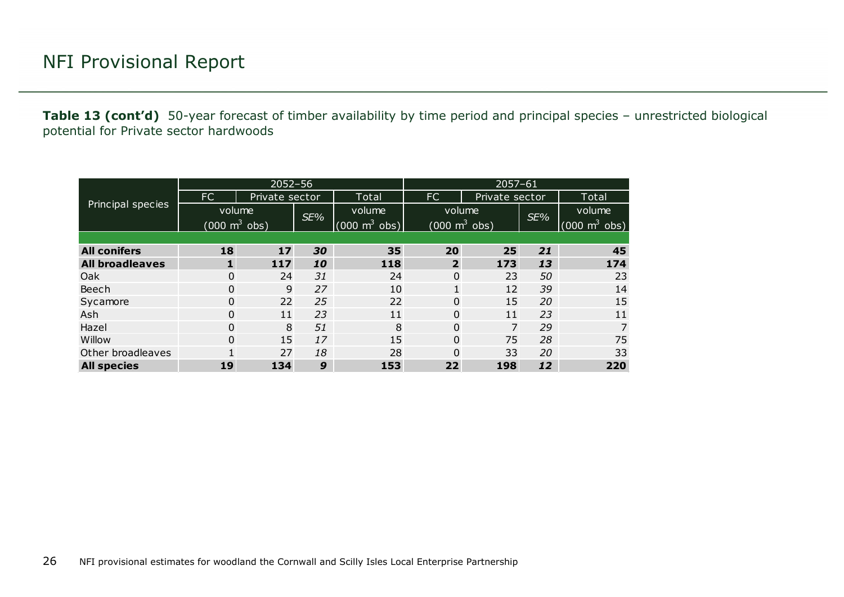**Table 13 (cont'd)** 50-year forecast of timber availability by time period and principal species – unrestricted biological potential for Private sector hardwoods

|                        |                                 | $2052 - 56$    |     |                                 | $2057 - 61$                               |                |     |                                 |  |  |  |
|------------------------|---------------------------------|----------------|-----|---------------------------------|-------------------------------------------|----------------|-----|---------------------------------|--|--|--|
|                        | FC.                             | Private sector |     | Total                           | FC                                        | Private sector |     | Total                           |  |  |  |
| Principal species      | volume                          |                | SE% | volume                          | volume<br>$(000 \text{ m}^3 \text{ obs})$ |                | SE% | volume                          |  |  |  |
|                        | $(000 \text{ m}^3 \text{ obs})$ |                |     | $(000 \text{ m}^3 \text{ obs})$ |                                           |                |     | $(000 \text{ m}^3 \text{ obs})$ |  |  |  |
|                        |                                 |                |     |                                 |                                           |                |     |                                 |  |  |  |
| <b>All conifers</b>    | 18                              | 17             | 30  | 35                              | 20                                        | 25             | 21  | 45                              |  |  |  |
| <b>All broadleaves</b> | 1                               | 117            | 10  | 118                             | $\overline{2}$                            | 173            | 13  | 174                             |  |  |  |
| Oak                    | $\Omega$                        | 24             | 31  | 24                              | $\mathbf{0}$                              | 23             | 50  | 23                              |  |  |  |
| Beech                  | 0                               | 9              | 27  | 10                              | $\mathbf{1}$                              | 12             | 39  | 14                              |  |  |  |
| Sycamore               | $\Omega$                        | 22             | 25  | 22                              | $\Omega$                                  | 15             | 20  | 15                              |  |  |  |
| Ash                    | $\Omega$                        | 11             | 23  | 11                              | $\Omega$                                  | 11             | 23  | 11                              |  |  |  |
| Hazel                  | $\Omega$                        | 8              | 51  | 8                               | $\Omega$                                  | 7              | 29  | 7                               |  |  |  |
| Willow                 | $\Omega$                        | 15             | 17  | 15                              | 0                                         | 75             | 28  | 75                              |  |  |  |
| Other broadleaves      | 1                               | 27             | 18  | 28                              | 0                                         | 33             | 20  | 33                              |  |  |  |
| <b>All species</b>     | 19                              | 134            | 9   | 153                             | 22                                        | 198            | 12  | 220                             |  |  |  |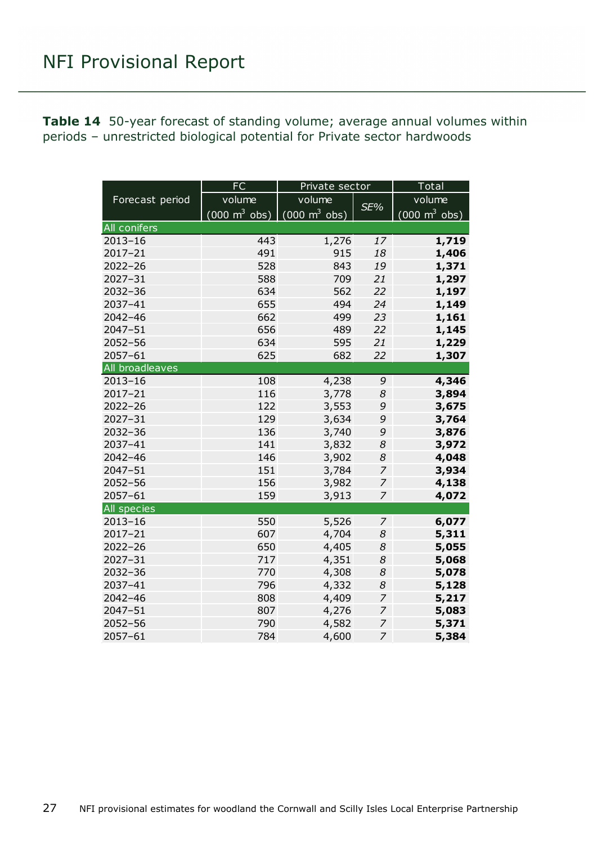<span id="page-26-0"></span>**Table 14** 50-year forecast of standing volume; average annual volumes within periods – unrestricted biological potential for Private sector hardwoods

|                 | FC<br>Private sector                                                          |        |                |                                 |  |  |
|-----------------|-------------------------------------------------------------------------------|--------|----------------|---------------------------------|--|--|
| Forecast period | volume                                                                        | volume | SE%            | volume                          |  |  |
|                 | $(000 \; \text{m}^3 \; \text{obs}) \;   \; (000 \; \text{m}^3 \; \text{obs})$ |        |                | $(000 \text{ m}^3 \text{ obs})$ |  |  |
| All conifers    |                                                                               |        |                |                                 |  |  |
| $2013 - 16$     | 443                                                                           | 1,276  | 17             | 1,719                           |  |  |
| $2017 - 21$     | 491                                                                           | 915    | 18             | 1,406                           |  |  |
| $2022 - 26$     | 528                                                                           | 843    | 19             | 1,371                           |  |  |
| $2027 - 31$     | 588                                                                           | 709    | 21             | 1,297                           |  |  |
| $2032 - 36$     | 634                                                                           | 562    | 22             | 1,197                           |  |  |
| 2037-41         | 655                                                                           | 494    | 24             | 1,149                           |  |  |
| 2042-46         | 662                                                                           | 499    | 23             | 1,161                           |  |  |
| 2047-51         | 656                                                                           | 489    | 22             | 1,145                           |  |  |
| $2052 - 56$     | 634                                                                           | 595    | 21             | 1,229                           |  |  |
| 2057-61         | 625                                                                           | 682    | 22             | 1,307                           |  |  |
| All broadleaves |                                                                               |        |                |                                 |  |  |
| $2013 - 16$     | 108                                                                           | 4,238  | 9              | 4,346                           |  |  |
| $2017 - 21$     | 116                                                                           | 3,778  | 8              | 3,894                           |  |  |
| $2022 - 26$     | 122                                                                           | 3,553  | 9              | 3,675                           |  |  |
| $2027 - 31$     | 129                                                                           | 3,634  | 9              | 3,764                           |  |  |
| $2032 - 36$     | 136                                                                           | 3,740  | 9              | 3,876                           |  |  |
| 2037-41         | 141                                                                           | 3,832  | 8              | 3,972                           |  |  |
| 2042-46         | 146                                                                           | 3,902  | 8              | 4,048                           |  |  |
| 2047-51         | 151                                                                           | 3,784  | $\overline{z}$ | 3,934                           |  |  |
| $2052 - 56$     | 156                                                                           | 3,982  | 7              | 4,138                           |  |  |
| $2057 - 61$     | 159                                                                           | 3,913  | 7              | 4,072                           |  |  |
| All species     |                                                                               |        |                |                                 |  |  |
| $2013 - 16$     | 550                                                                           | 5,526  | $\overline{z}$ | 6,077                           |  |  |
| 2017-21         | 607                                                                           | 4,704  | 8              | 5,311                           |  |  |
| $2022 - 26$     | 650                                                                           | 4,405  | 8              | 5,055                           |  |  |
| $2027 - 31$     | 717                                                                           | 4,351  | 8              | 5,068                           |  |  |
| $2032 - 36$     | 770                                                                           | 4,308  | 8              | 5,078                           |  |  |
| 2037-41         | 796                                                                           | 4,332  | 8              | 5,128                           |  |  |
| $2042 - 46$     | 808                                                                           | 4,409  | 7              | 5,217                           |  |  |
| $2047 - 51$     | 807                                                                           | 4,276  | $\overline{z}$ | 5,083                           |  |  |
| $2052 - 56$     | 790                                                                           | 4,582  | $\overline{z}$ | 5,371                           |  |  |
| $2057 - 61$     | 784                                                                           | 4,600  | 7              | 5,384                           |  |  |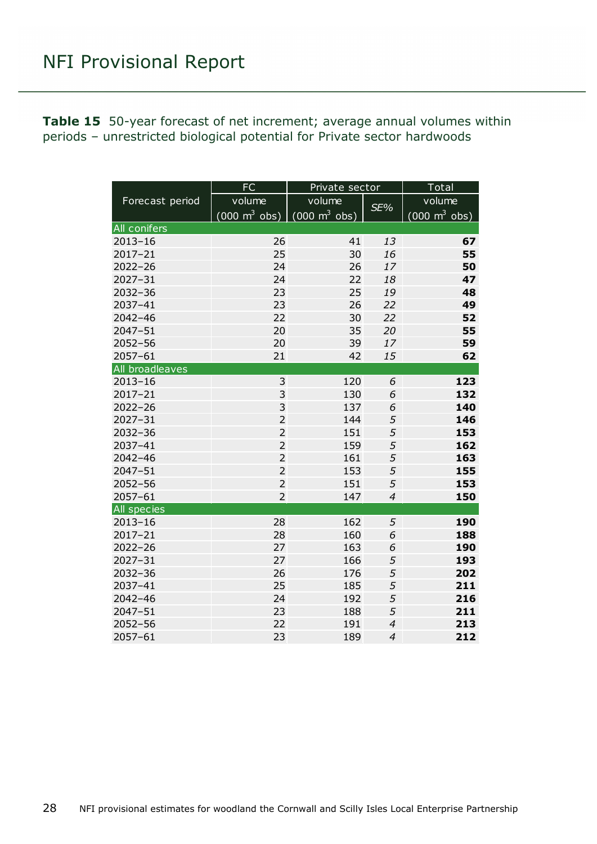<span id="page-27-0"></span>

| <b>Table 15</b> 50-year forecast of net increment; average annual volumes within |  |  |  |
|----------------------------------------------------------------------------------|--|--|--|
| periods - unrestricted biological potential for Private sector hardwoods         |  |  |  |

|                 | FC                                                                            | Private sector | Total          |                                     |  |
|-----------------|-------------------------------------------------------------------------------|----------------|----------------|-------------------------------------|--|
| Forecast period | volume                                                                        | volume         | SE%            | volume                              |  |
|                 | $(000 \; \text{m}^3 \; \text{obs}) \;   \; (000 \; \text{m}^3 \; \text{obs})$ |                |                | $(000 \; \text{m}^3 \; \text{obs})$ |  |
| All conifers    |                                                                               |                |                |                                     |  |
| $2013 - 16$     | 26                                                                            | 41             | 13             | 67                                  |  |
| $2017 - 21$     | 25                                                                            | 30             | 16             | 55                                  |  |
| $2022 - 26$     | 24                                                                            | 26             | 17             | 50                                  |  |
| $2027 - 31$     | 24                                                                            | 22             | 18             | 47                                  |  |
| 2032-36         | 23                                                                            | 25             | 19             | 48                                  |  |
| 2037-41         | 23                                                                            | 26             | 22             | 49                                  |  |
| 2042-46         | 22                                                                            | 30             | 22             | 52                                  |  |
| 2047-51         | 20                                                                            | 35             | 20             | 55                                  |  |
| 2052-56         | 20                                                                            | 39             | 17             | 59                                  |  |
| $2057 - 61$     | 21                                                                            | 42             | 15             | 62                                  |  |
| All broadleaves |                                                                               |                |                |                                     |  |
| $2013 - 16$     | 3                                                                             | 120            | 6              | 123                                 |  |
| $2017 - 21$     | 3                                                                             | 130            | 6              | 132                                 |  |
| $2022 - 26$     | 3                                                                             | 137            | 6              | 140                                 |  |
| $2027 - 31$     | $\overline{2}$                                                                | 144            | 5              | 146                                 |  |
| $2032 - 36$     | $\overline{2}$                                                                | 151            | 5              | 153                                 |  |
| 2037-41         | $\overline{2}$                                                                | 159            | 5              | 162                                 |  |
| $2042 - 46$     | $\overline{2}$                                                                | 161            | 5              | 163                                 |  |
| 2047-51         | $\overline{2}$                                                                | 153            | 5              | 155                                 |  |
| $2052 - 56$     | $\overline{2}$                                                                | 151            | 5              | 153                                 |  |
| 2057-61         | $\overline{2}$                                                                | 147            | $\overline{4}$ | 150                                 |  |
| All species     |                                                                               |                |                |                                     |  |
| $2013 - 16$     | 28                                                                            | 162            | 5              | 190                                 |  |
| 2017-21         | 28                                                                            | 160            | 6              | 188                                 |  |
| $2022 - 26$     | 27                                                                            | 163            | 6              | 190                                 |  |
| $2027 - 31$     | 27                                                                            | 166            | 5              | 193                                 |  |
| 2032-36         | 26                                                                            | 176            | 5              | 202                                 |  |
| 2037-41         | 25                                                                            | 185            | 5              | 211                                 |  |
| 2042-46         | 24                                                                            | 192            | 5              | 216                                 |  |
| $2047 - 51$     | 23                                                                            | 188            | 5              | 211                                 |  |
| $2052 - 56$     | 22                                                                            | 191            | $\overline{4}$ | 213                                 |  |
| 2057-61         | 23                                                                            | 189            | $\overline{4}$ | 212                                 |  |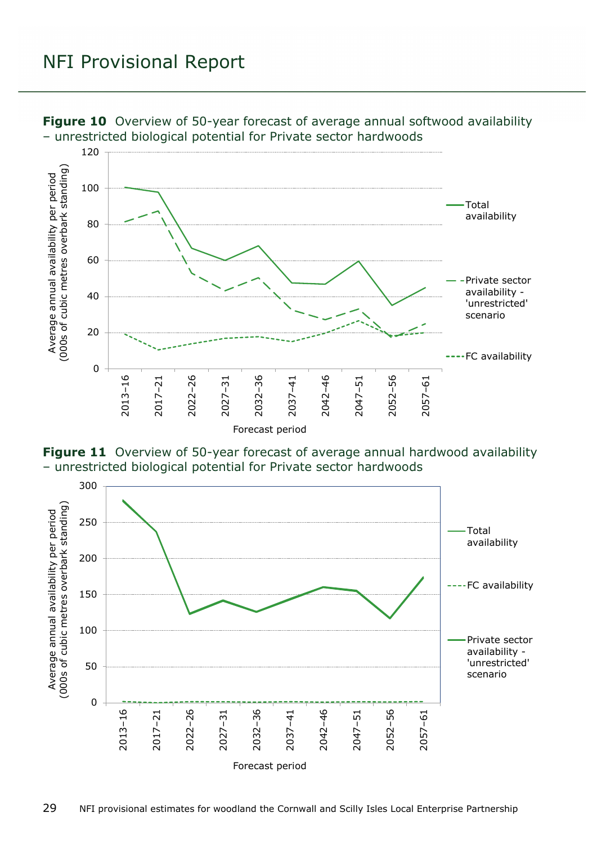

<span id="page-28-0"></span>**Figure 10** Overview of 50-year forecast of average annual softwood availability – unrestricted biological potential for Private sector hardwoods

<span id="page-28-1"></span>

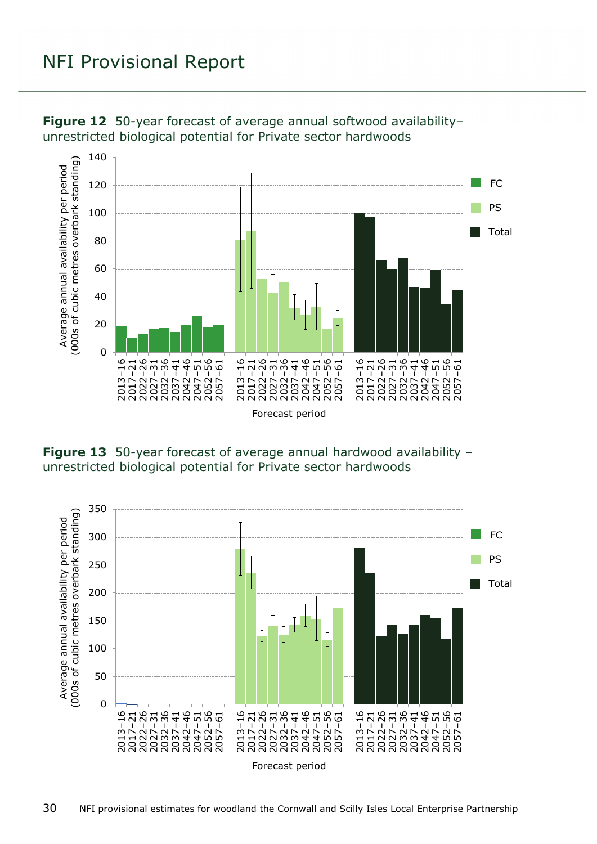

<span id="page-29-0"></span>**Figure 12** 50-year forecast of average annual softwood availability– unrestricted biological potential for Private sector hardwoods

<span id="page-29-1"></span>**Figure 13** 50-year forecast of average annual hardwood availability – unrestricted biological potential for Private sector hardwoods

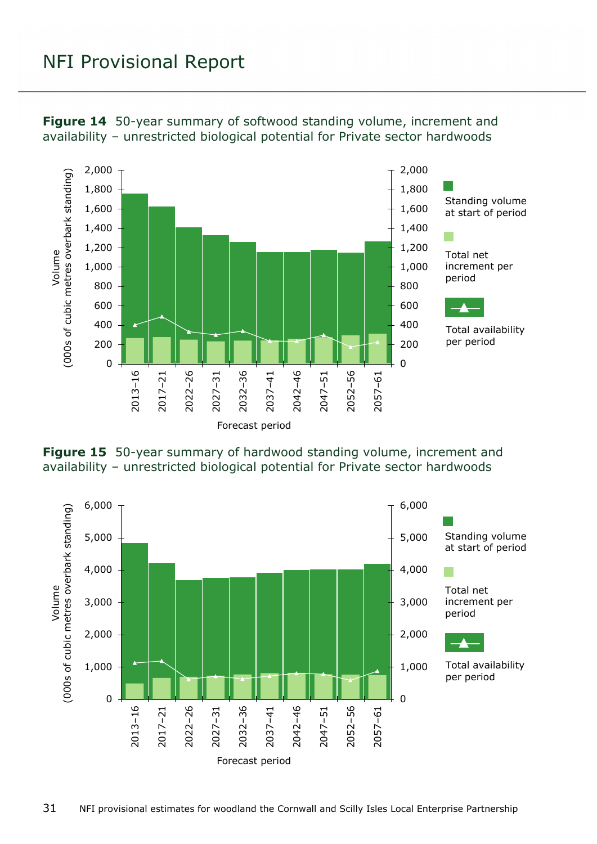<span id="page-30-0"></span>



<span id="page-30-1"></span>

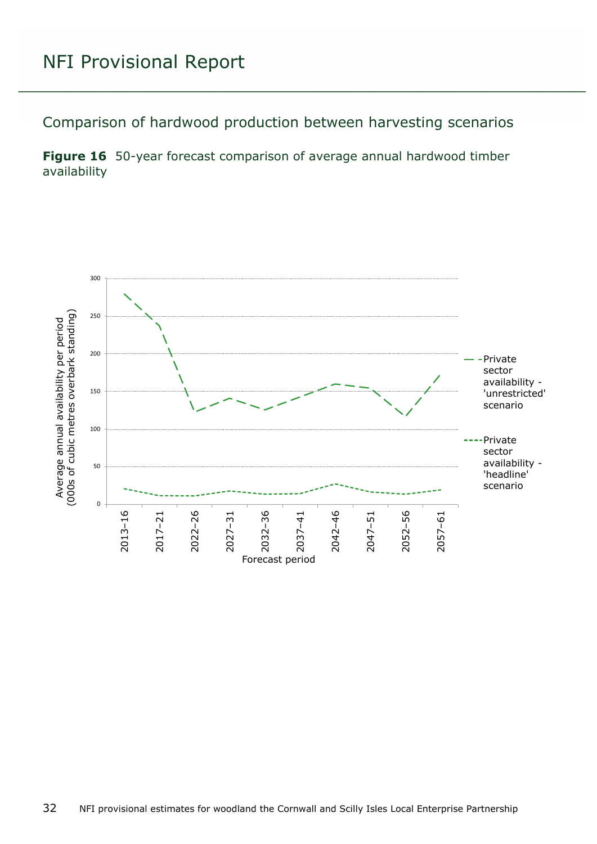<span id="page-31-0"></span>Comparison of hardwood production between harvesting scenarios

<span id="page-31-1"></span>**Figure 16** 50-year forecast comparison of average annual hardwood timber availability

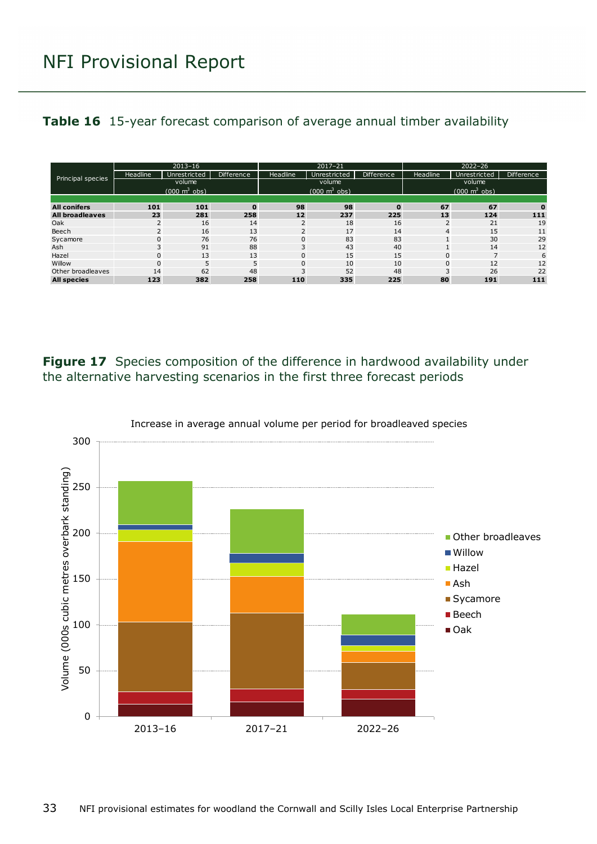#### <span id="page-32-1"></span>**Table 16** 15-year forecast comparison of average annual timber availability

| Principal species      | $2013 - 16$                     |              |                   | $2017 - 21$                     |              |                   | $2022 - 26$                     |              |                   |
|------------------------|---------------------------------|--------------|-------------------|---------------------------------|--------------|-------------------|---------------------------------|--------------|-------------------|
|                        | Headline                        | Unrestricted | <b>Difference</b> | Headline                        | Unrestricted | <b>Difference</b> | Headline                        | Unrestricted | <b>Difference</b> |
|                        | volume                          |              |                   | volume                          |              |                   | volume                          |              |                   |
|                        | $(000 \text{ m}^3 \text{ obs})$ |              |                   | $(000 \text{ m}^3 \text{ obs})$ |              |                   | $(000 \text{ m}^3 \text{ obs})$ |              |                   |
|                        |                                 |              |                   |                                 |              |                   |                                 |              |                   |
| <b>All conifers</b>    | 101                             | 101          | $\mathbf{0}$      | 98                              | 98           | $\mathbf 0$       | 67                              | 67           | $\bf{0}$          |
| <b>All broadleaves</b> | 23                              | 281          | 258               | 12                              | 237          | 225               | 13                              | 124          | 111               |
| Oak                    | 2                               | 16           | 14                | $\overline{2}$                  | 18           | 16                | $\overline{2}$                  | 21           | 19                |
| Beech                  | 2                               | 16           | 13                | $\overline{2}$                  | 17           | 14                | $\overline{4}$                  | 15           | 11                |
| Sycamore               | $\Omega$                        | 76           | 76                | $\mathbf{0}$                    | 83           | 83                |                                 | 30           | 29                |
| Ash                    | 3                               | 91           | 88                | 3                               | 43           | 40                |                                 | 14           | 12                |
| Hazel                  | $\mathbf 0$                     | 13           | 13                | 0                               | 15           | 15                | $\mathbf 0$                     |              | 6                 |
| Willow                 | $\mathbf 0$                     | 5            | 5                 | 0                               | 10           | 10                | $\mathbf{0}$                    | 12           | 12                |
| Other broadleaves      | 14                              | 62           | 48                | 3                               | 52           | 48                | 3                               | 26           | 22                |
| <b>All species</b>     | 123                             | 382          | 258               | 110                             | 335          | 225               | 80                              | 191          | 111               |

<span id="page-32-0"></span>**Figure 17** Species composition of the difference in hardwood availability under the alternative harvesting scenarios in the first three forecast periods



Increase in average annual volume per period for broadleaved species